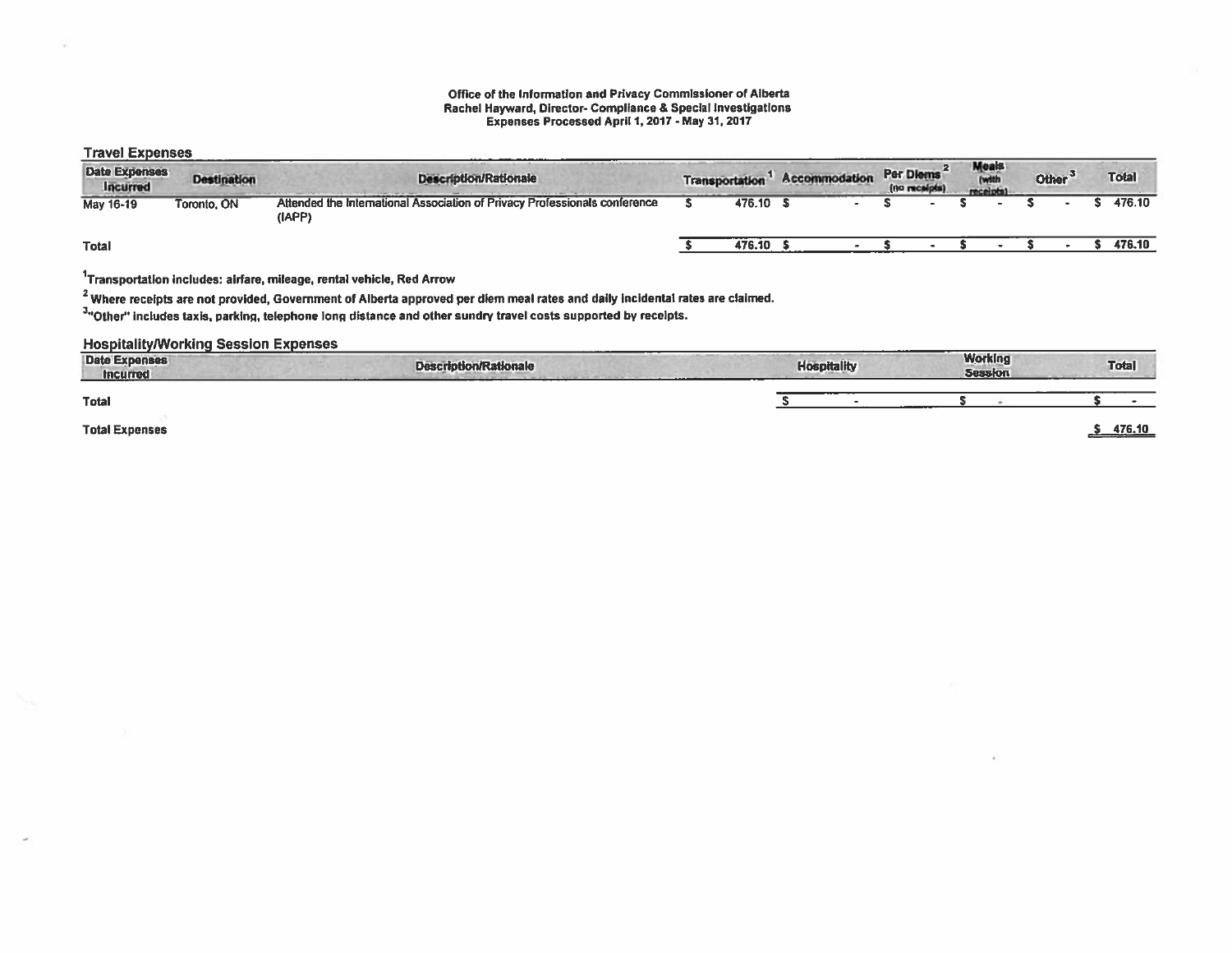#### Office of the Information and Privacy Commissioner of Alberta Rachel Hayward, Director- Compliance & Special Investigations Expenses Processed April 1, 2017 - May 31, 2017

### Travel Expenses

| HATGI LAPGHOUJ                   |                    |                                                                                      |                       |               |                            |                                   |                    |              |
|----------------------------------|--------------------|--------------------------------------------------------------------------------------|-----------------------|---------------|----------------------------|-----------------------------------|--------------------|--------------|
| <b>Date Expenses</b><br>Incurred | <b>Destination</b> | -----<br><b>Description/Rationale</b>                                                | <b>Transportation</b> | Accommodation | Per Diems<br>(no receipts) | <b>Meals</b><br>(with<br>receipti | Other <sup>3</sup> | <b>Total</b> |
| May 16-19                        | Toronto, ON        | Attended the International Association of Privacy Professionals conference<br>(IAPP) | 476.10                |               |                            |                                   |                    | 476.10       |
| Total                            |                    |                                                                                      | 476.10                |               |                            |                                   |                    | 476.10       |

 $1$ Transportation includes: airfare, mileage, rental vehicle, Red Arrow

<sup>2</sup> Where receipts are not provided, Government of Alberta approved per diem meal rates and daily incidental rates are claimed.

3"Other" includes taxis, parking, telephone long distance and other sundry travel costs supported by receipts.

#### HospitalityAorking Session Expenses

| <b>Date Expenses</b><br><b>Incurred</b> | <b>Description/Rationale</b> | <b>Hospitality</b> | <b>Working</b><br><b>Session</b> | <b>Total</b> |
|-----------------------------------------|------------------------------|--------------------|----------------------------------|--------------|
| <b>Total</b>                            |                              |                    |                                  |              |
| <b>Total Expenses</b>                   |                              |                    |                                  | 476.10       |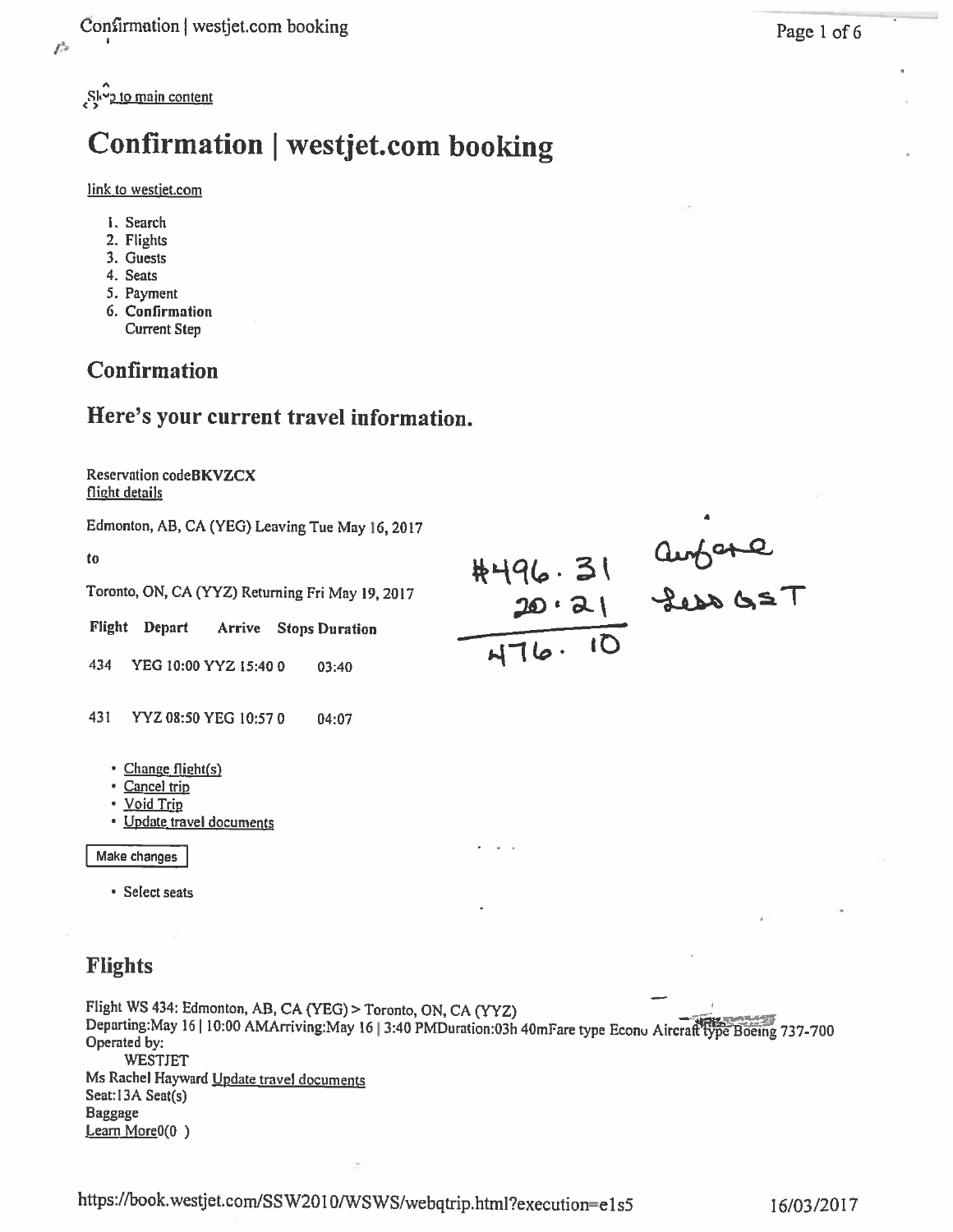Sky<sub>2</sub> to main content

# Confirmation | westjet.com booking

### link to westjet.com

- 1. Search
- 2. Flights
- 3. Guests
- 4. Seats
- 5. Payment
- 6. Confirmation
- Current Step

## Confirmation

## Here's your current travel information.

Reservation codeBKVZCX flight details

Edmonton, AB, CA (YEG) Leaving Tue May 16, 2017

to

Toronto, ON, CA (YYZ) Returning Fri May 19, 2017 to<br>
Toronto, ON, CA (YYZ) Returning Fri May 19, 2017<br>
Flight Depart Arrive Stops Duration<br>
434 YEG 10:00 YYZ 15:400 03:40<br>
434 YEG 10:00 YYZ 15:400 03:40

Flight Depart Arrive Stops Duration

- 431 YYZ 08:50 YEG 10:570 04:07
	- Change flight(s)
	- Cancel trip
	- <u>Void Trip</u>
	- Update travel documents

Make changes

Select seats

## Flights

Flight WS 434: Edmonton, AB, CA (YEG) > Toronto, ON, CA (YYZ) Departing:May 16 | 10:00 AMArriving:May 16 | 3:40 PMDuration:03h 40mFare type Econu Aircraft type Böeing 737-700 Operated by: WESTJET Ms Rachel Hayward Update travel documents Seat:13A Seat(s) Baggage Learn More<sub>0</sub>(0)

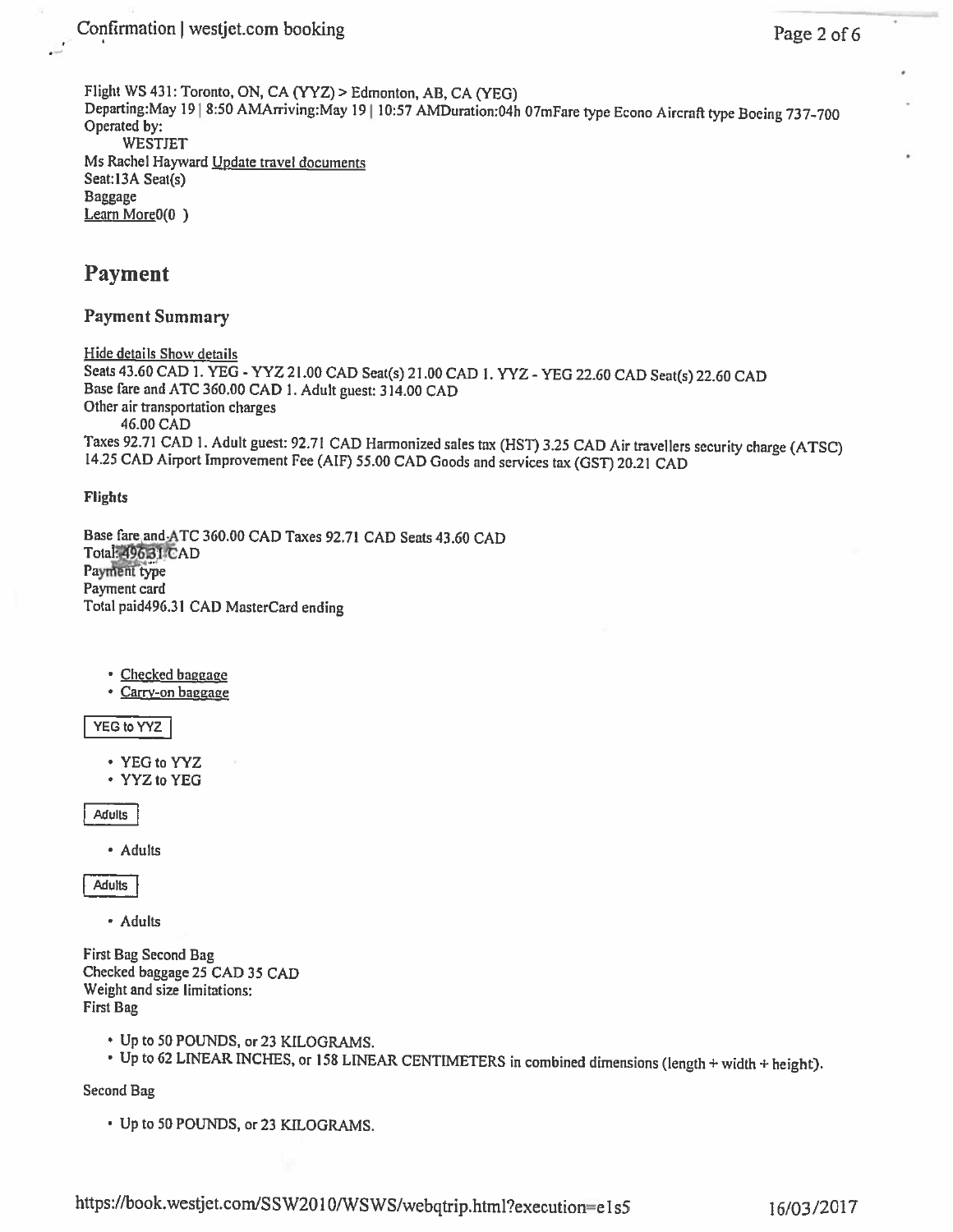Confirmation | westjet.com booking

Flight WS 431: Toronto, ON, CA (YYZ) > Edmonton, AB, CA (YEG) Departing: May 19 | 8:50 AMArriving: May 19 | 10:57 AMDuration: 04h 07mFare type Econo Aircraft type Boeing 737-700 Operated by: **WESTJET** Ms Rachel Hayward Update travel documents Seat:13A Seat(s) **Baggage** Learn More<sub>0</sub>(0)

## **Payment**

## **Payment Summary**

Hide details Show details Seats 43.60 CAD 1. YEG - YYZ 21.00 CAD Seat(s) 21.00 CAD 1. YYZ - YEG 22.60 CAD Seat(s) 22.60 CAD Base fare and ATC 360.00 CAD 1. Adult guest: 314.00 CAD Other air transportation charges 46.00 CAD Taxes 92.71 CAD 1. Adult guest: 92.71 CAD Harmonized sales tax (HST) 3.25 CAD Air travellers security charge (ATSC) 14.25 CAD Airport Improvement Fee (AIF) 55.00 CAD Goods and services tax (GST) 20.21 CAD

**Flights** 

Base fare and ATC 360.00 CAD Taxes 92.71 CAD Seats 43.60 CAD Total: 49631 CAD Payment type Payment card Total paid496.31 CAD MasterCard ending

- · Checked baggage
- · Carry-on baggage

YEG to YYZ

- YEG to YYZ
- \* YYZ to YEG

**Adults** 

• Adults

**Adults** 

· Adults

First Bag Second Bag Checked baggage 25 CAD 35 CAD Weight and size limitations: **First Bag** 

- Up to 50 POUNDS, or 23 KILOGRAMS.
- Up to 62 LINEAR INCHES, or 158 LINEAR CENTIMETERS in combined dimensions (length + width + height).

Second Bag

• Up to 50 POUNDS, or 23 KILOGRAMS.

https://book.westjet.com/SSW2010/WSWS/webqtrip.html?execution=e1s5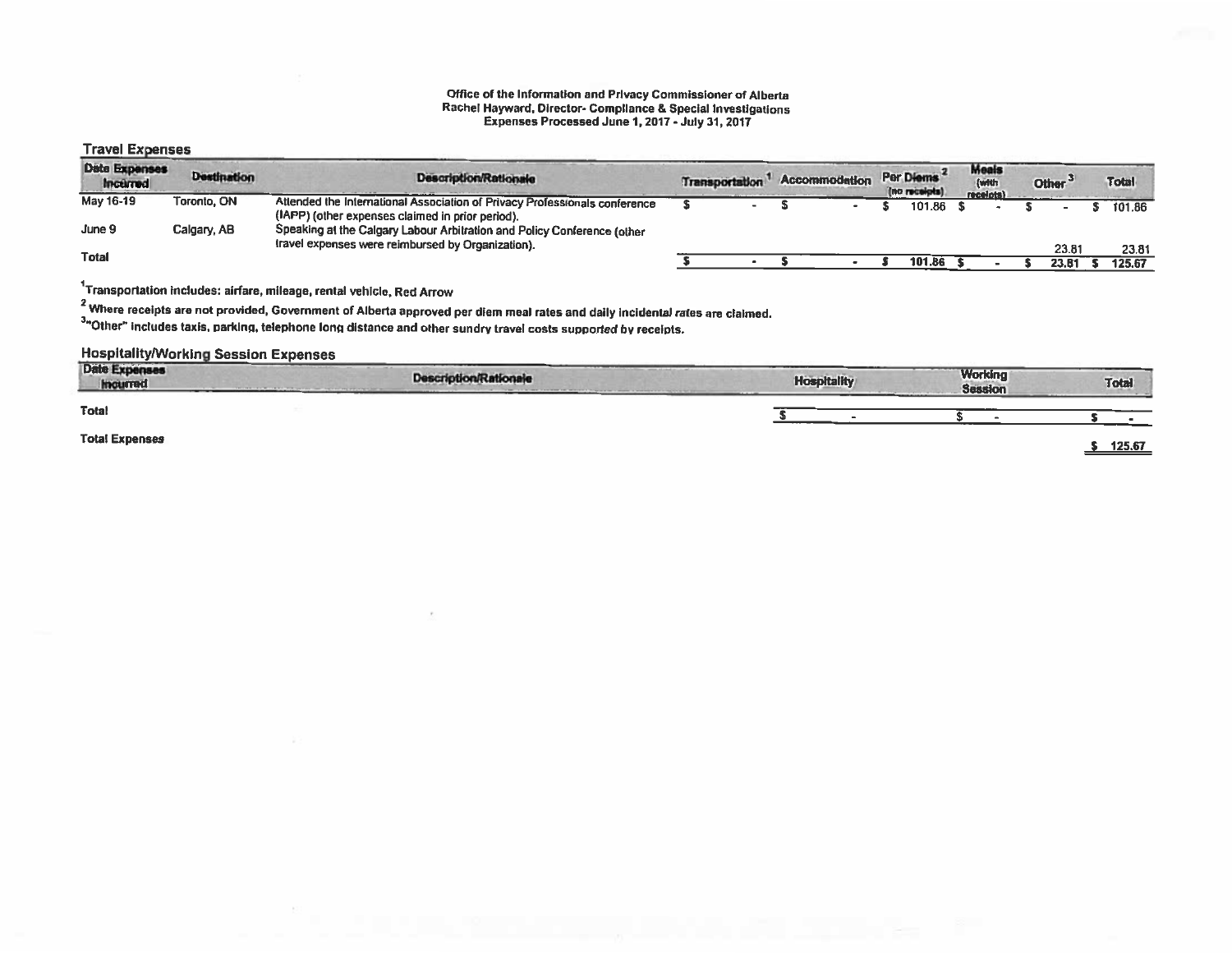#### Office of the Information and Privacy Commissioner of Alberta Rachel Hayward, Director- Compliance & Special Investigations Expenses Processed June 1,2017 -July 31,2017

### Travel Expenses

| Date Expenses<br><b>Incerned</b> | <b>Destination</b> | <b>Description/Rationale</b>                                                                                                   | Transportation |  | Accommodation | Per Diems<br>(no receipts) | <b>Meals</b><br>(with<br>receipts) |  | Other <sup>3</sup> | <b>Total</b> |
|----------------------------------|--------------------|--------------------------------------------------------------------------------------------------------------------------------|----------------|--|---------------|----------------------------|------------------------------------|--|--------------------|--------------|
| May 16-19                        | Toronto, ON        | Attended the International Association of Privacy Professionals conference<br>(IAPP) (other expenses claimed in prior period). |                |  |               | 101.86                     |                                    |  |                    | 101.86       |
| June 9                           | Calgary, AB        | Speaking at the Calgary Labour Arbitration and Policy Conference (other<br>travel expenses were reimbursed by Organization).   |                |  |               |                            |                                    |  |                    |              |
| <b>Total</b>                     |                    |                                                                                                                                |                |  |               |                            |                                    |  | 23.81              | 23.81        |
|                                  |                    |                                                                                                                                |                |  |               | 101.86                     |                                    |  | 23.8               | 125.67       |

 $1$ Transportation includes: airfare, mileage, rental vehicle, Red Arrow

<sup>2</sup> Where receipts are not provided, Government of Alberta approved per diem meal rates and daily incidental rates are claimed.

And the Cooper of the Cooper of the control of the Cooper sundry travel costs supported by receipts.

## HospitalitylWorking Session Expenses

| <b>Date Expenses</b><br>Incurred | -----<br><b>Description/Rationale</b><br>Anywhere the first state company and the control and provided but the | company, and a should contribute<br><b>Hospitality</b> | <b>Working</b><br><b>Session</b> | Total  |
|----------------------------------|----------------------------------------------------------------------------------------------------------------|--------------------------------------------------------|----------------------------------|--------|
| <b>Total</b>                     |                                                                                                                |                                                        | ------                           |        |
| <b>Total Expenses</b>            |                                                                                                                |                                                        |                                  | 125.67 |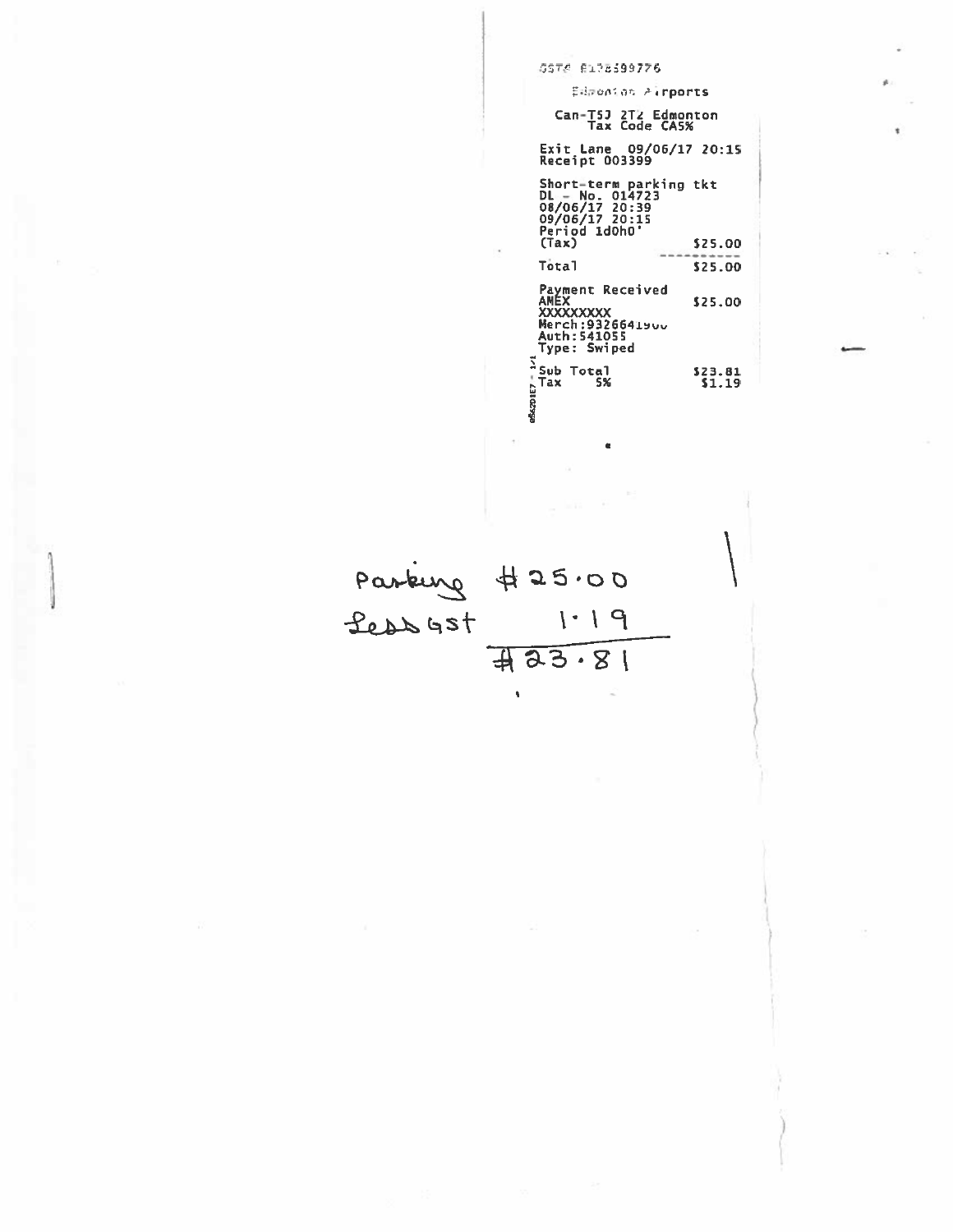| GST# Ri?8599776                                                                                                                 |
|---------------------------------------------------------------------------------------------------------------------------------|
| Edwonion Airports                                                                                                               |
| Can-T5J 2T2 Edmonton<br>Tax Code CA5%                                                                                           |
| <b>Exit Lane 09/06/17 20:15</b><br><b>Receipt 003399</b>                                                                        |
| Short-term parking tkt<br>DL - No. 014723<br><b>08/06/17 20:39<br/>09/06/17 20:15<br/>Period 1d0h0'</b><br>(Tax)<br>\$25.00     |
| <b>Total</b><br>\$25.00                                                                                                         |
| Payment Received<br>AMEX<br>\$25.00<br><b>XXXXXXXXX</b><br><b>Merch:9326641900</b><br><b>Auth:541055</b><br><b>Type: Swiped</b> |
| Sub Total<br>523.81<br>$201E7 -$<br>Tax<br>5%<br>\$1.19                                                                         |

Parking #25.00<br>Less 425.00<br>#23.81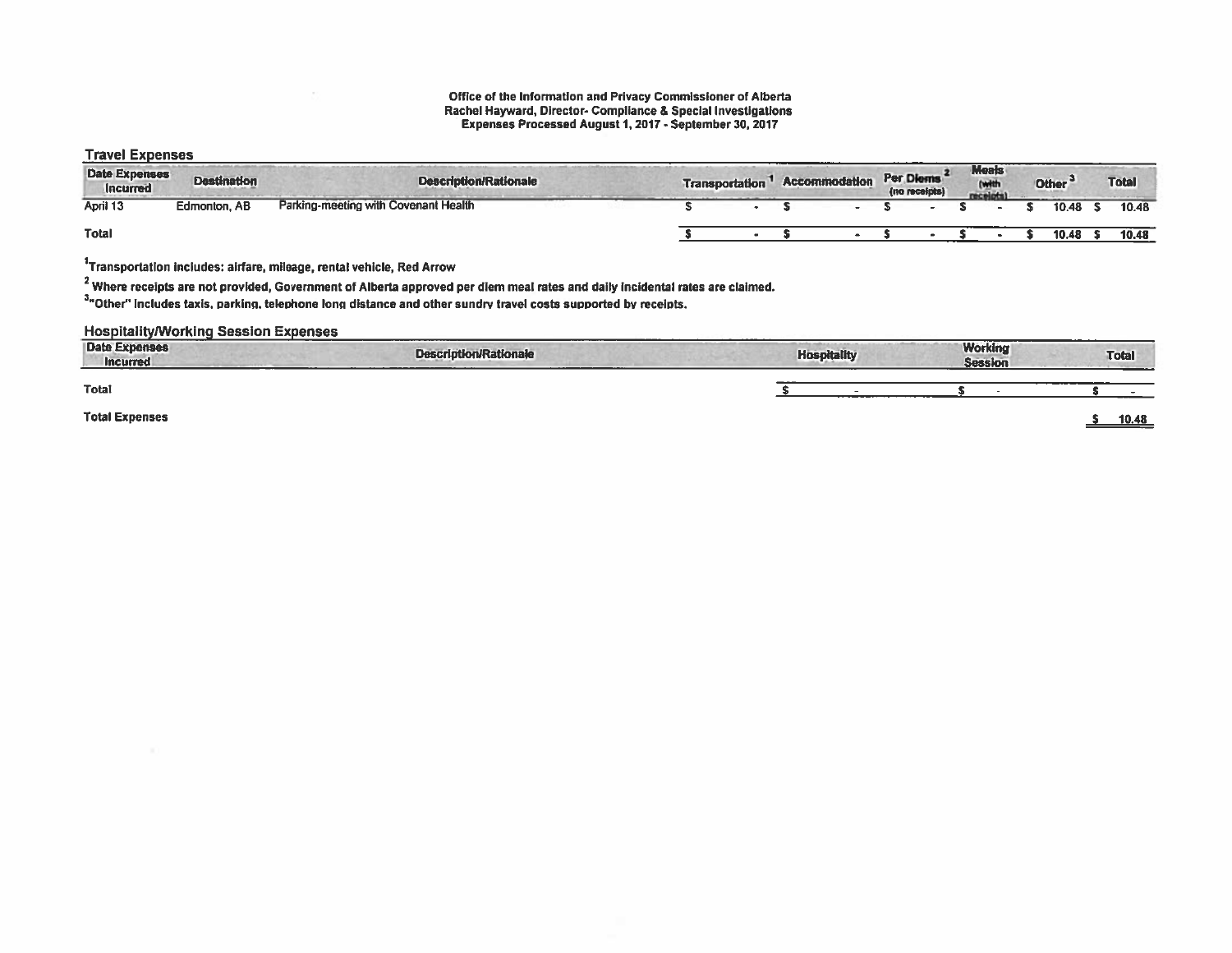#### Office of the Information and Privacy Commissioner of Alberta Rachel Hayward, Director- Compliance & Special Investigations Expenses Processed August I, 2017- September 30,2017

#### Travel Expenses

| <b>Date Expenses</b><br><b>Incurred</b> | <b>Destination</b> | <b>Description/Rationale</b>         | <b>Transportation</b> | <b>Accommodation</b> | Per Diems<br>(no receipts) | <b>Meals</b><br><b>Arraclad</b><br><b>SALE</b> | <b>Other</b> |       | <b>Total</b> |
|-----------------------------------------|--------------------|--------------------------------------|-----------------------|----------------------|----------------------------|------------------------------------------------|--------------|-------|--------------|
| April 13                                | Edmonton, AB       | Parking-meeting with Covenant Health |                       |                      |                            |                                                |              | 10.48 | 10.48        |
| Total                                   |                    |                                      |                       |                      |                            |                                                |              | 10.48 | 10.48        |

 $1$ Transportation includes: airfare, mileage, rental vehicle, Red Arrow

 $2$  Where receipts are not provided, Government of Alberta approved per diem meal rates and daily incidental rates are claimed.

3"Other" includes taxis, parking, telephone long distance and other sundry travel costs supported by receipts.

#### **Hospitality/Working Session Expenses**

| <b>Date Expenses</b><br><b>Incurred</b> | <b>Description/Rationale</b> | <b>Hospitality</b> | <b>Working</b><br><b>Session</b> | ______<br>Total |
|-----------------------------------------|------------------------------|--------------------|----------------------------------|-----------------|
| Total                                   |                              |                    |                                  |                 |
| <b>Total Expenses</b>                   |                              |                    |                                  | 10.48           |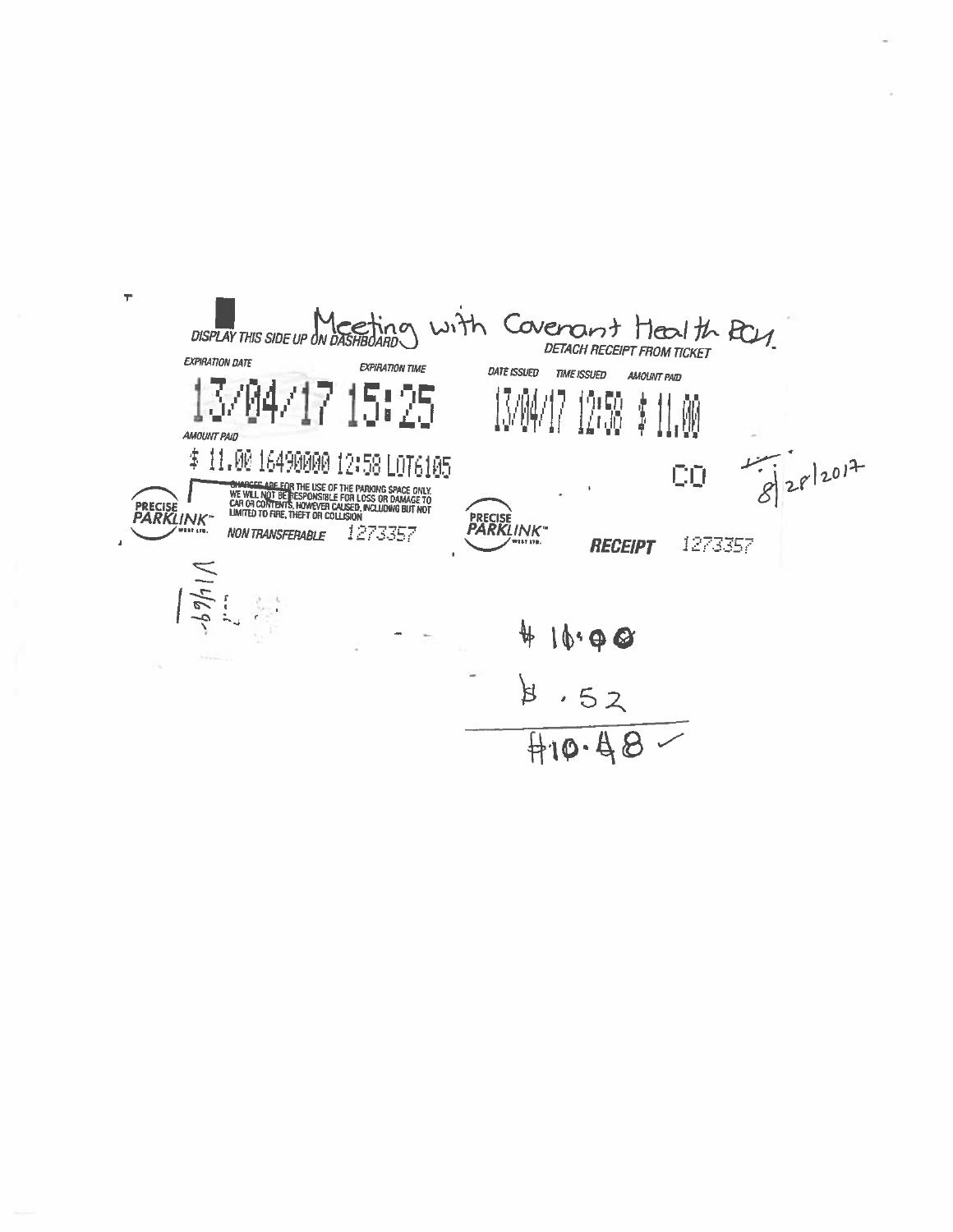$\mathbf{r}$ DISPLAY THIS SIDE UP ON DASHBOARD WITH COVENOMT FROM TICKET **EXPIRATION DATE** EXPIRATION TIME DATE ISSUED TIME ISSUED AMOUNT PAID 13/04 5:25 13/04<br>13/04 市<br>新 19150<br>14100 11.W **AMOUNT PAID**  $82012012$ \$11.00 16490000 12:58 L0T6105 CQ **COMPAGES ARE FOR THE USE OF THE PARKING SPACE ONLY**<br>WE WILL NOT BETRESPONSIBLE FOR LOSS OR DAMAGE TO<br>CAR OR CONTENTS, HOWEVER CAUSED, INCLUDING BUT NOT<br>LIMITED TO FIRE, THEFT OR COLLISION PRECISE<br>PARKLINK PRECISE<br>PARKLINK NON TRANSFERABLE 1273357 1273357 **RECEIPT**  $16.98$  $8.52$ <br> $410.48$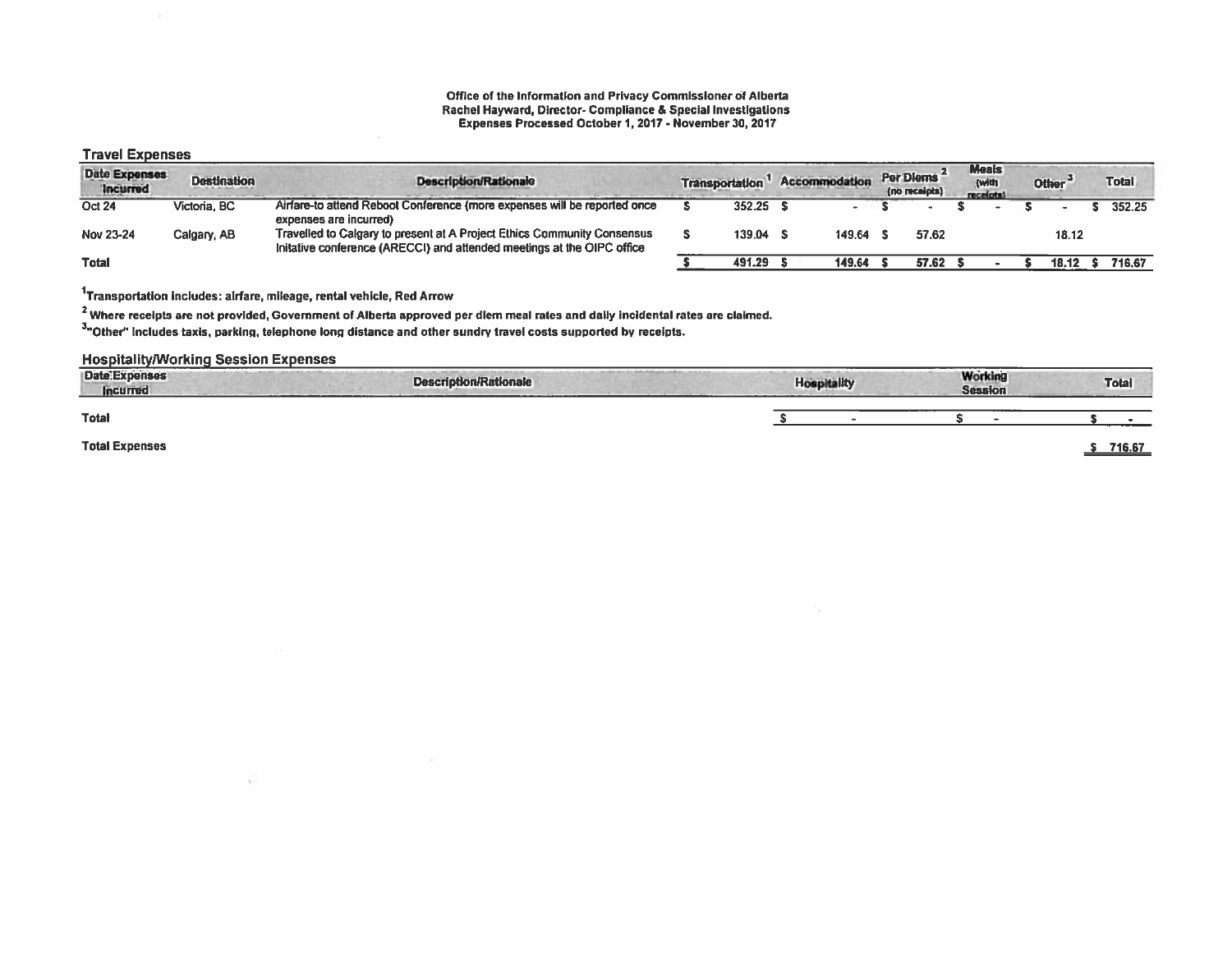#### Office of the Information and Privacy Commissioner of Alberta Rachel Hayward, Director- Compliance & Special Investigations Expenses Processed October I, 2017- November 30, 2017

### Travel Expenses

| <b>Date Expenses</b><br>Incurred | <b>Destination</b> | <b>Description/Rationale</b>                                                                                                                      | <b>Transportation</b> |            | Accommodation |        | Per Diems<br>(no receipts) | <b>Meals</b><br>{with<br>receiptal | Other <sup>3</sup> | <b>Total</b> |
|----------------------------------|--------------------|---------------------------------------------------------------------------------------------------------------------------------------------------|-----------------------|------------|---------------|--------|----------------------------|------------------------------------|--------------------|--------------|
| <b>Oct 24</b>                    | Victoria, BC       | Airfare-to attend Reboot Conference (more expenses will be reported once<br>expenses are incurred)                                                |                       | $352.25$ 5 |               |        |                            |                                    |                    | 352.25       |
| Nov 23-24                        | Calgary, AB        | Travelled to Calgary to present at A Project Ethics Community Consensus<br>Initative conference (ARECCI) and attended meetings at the OIPC office |                       | 139.04     |               | 149.64 | 57.62                      |                                    | 18.12              |              |
| <b>Total</b>                     |                    |                                                                                                                                                   |                       | 491.29     |               | 149.64 | 57.62                      |                                    | 18.12              | 716.67       |

1Transportation includes: airfare, mileage, rental vehicle, Red Arrow

W.

 $^2$  Where receipts are not provided, Government of Alberta approved per diem meal rates and daily incidental rates are claimed.

3'Other" includes taxis, parkinq, telephone long distance and other sundry travel costs supported by receipts.

### **Hospitality/Working Session Expenses**

| Date:Expenses<br><b>Incurred</b> | <b>Description/Rationale</b><br>------------ | <b>Hospitality</b> | Working<br><b>Session</b> | <b>Total</b> |
|----------------------------------|----------------------------------------------|--------------------|---------------------------|--------------|
| <b>Total</b>                     |                                              |                    |                           |              |
| <b>Total Expenses</b>            |                                              |                    |                           | 716.67       |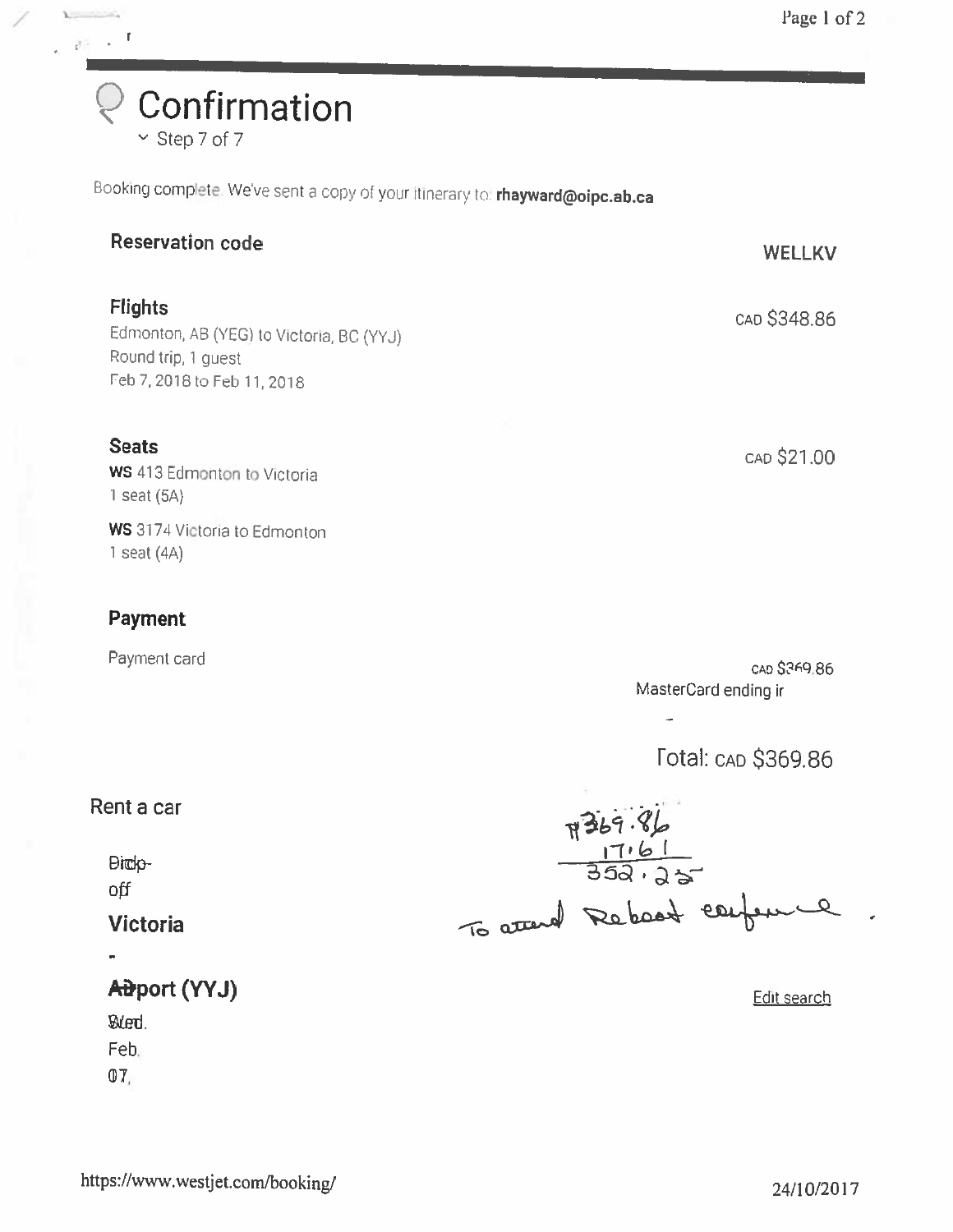Confirmation Step 7 of 7

 $\sum_{i=1}^{n}$  $\frac{1}{\sqrt{2}}\rightarrow -1$ 

Booking complete. We've sent a copy of your itinerary to: rhayward@oipc.ab.ca

| <b>Reservation code</b>                                                                                          | <b>WELLKV</b>                        |
|------------------------------------------------------------------------------------------------------------------|--------------------------------------|
| <b>Flights</b><br>Edmonton, AB (YEG) to Victoria, BC (YYJ)<br>Round trip, 1 guest<br>Feb 7, 2018 to Feb 11, 2018 | CAD \$348.86                         |
| <b>Seats</b><br>WS 413 Edmonton to Victoria<br>1 seat $(5A)$                                                     | CAD \$21.00                          |
| WS 3174 Victoria to Edmonton<br>1 seat $(4A)$                                                                    |                                      |
| <b>Payment</b>                                                                                                   |                                      |
| Payment card                                                                                                     | CAD \$369.86<br>MasterCard ending ir |
|                                                                                                                  | <b>Total: CAD \$369.86</b>           |
| Rent a car                                                                                                       |                                      |
| <b>Dick</b> -<br>off                                                                                             | $7369.86$<br>$17161$<br>352.25       |
| <b>Victoria</b>                                                                                                  | To attend Rebeart center<br>$\Omega$ |
|                                                                                                                  |                                      |
| Aiport (YYJ)                                                                                                     | Edit search                          |
| ØLed.                                                                                                            |                                      |
| Feb.<br>07,                                                                                                      |                                      |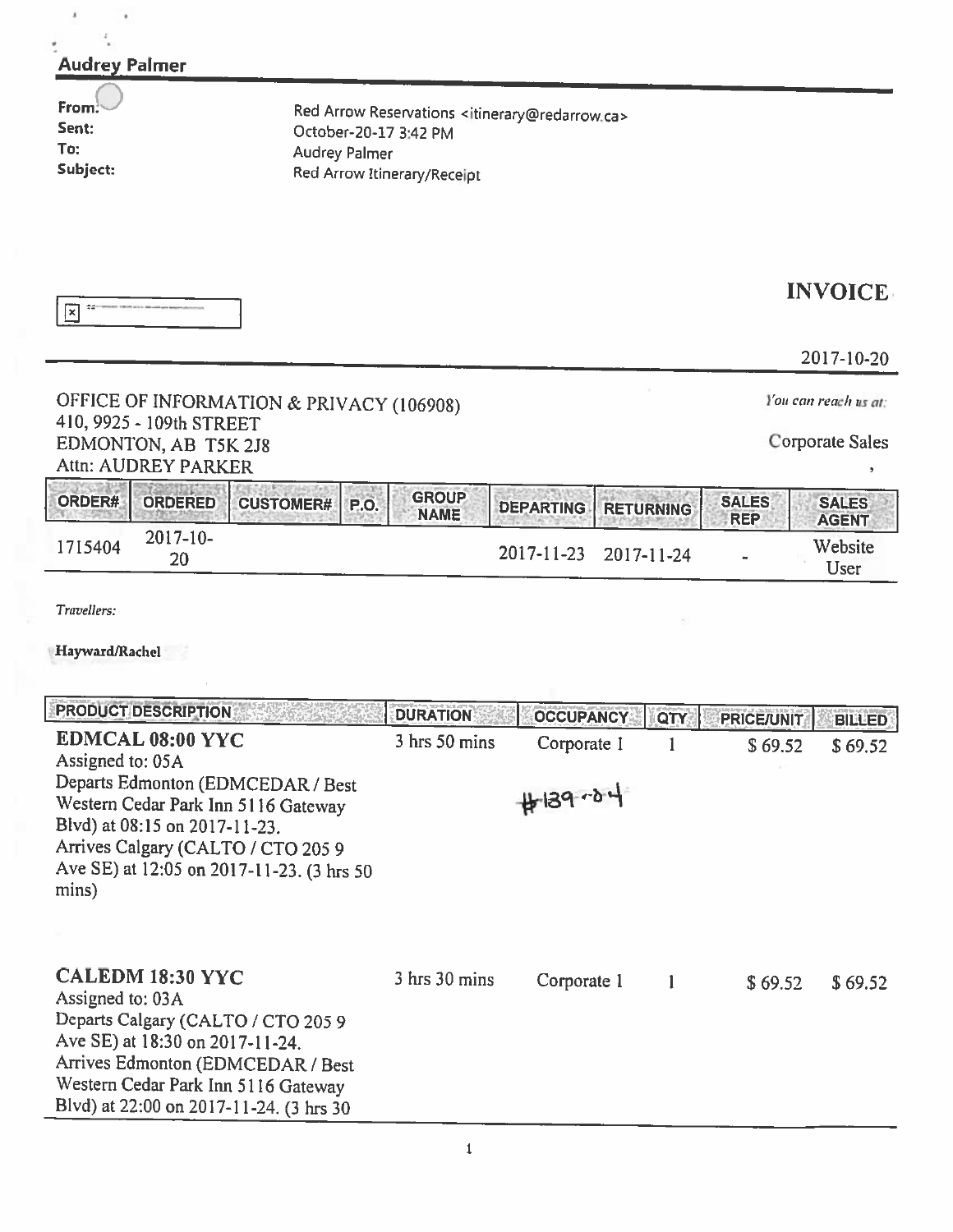| <b>Audrey Palmer</b>                                                                                                                                                                                                                          |                                               |                             |                                                                        |                  |                   |                                                |
|-----------------------------------------------------------------------------------------------------------------------------------------------------------------------------------------------------------------------------------------------|-----------------------------------------------|-----------------------------|------------------------------------------------------------------------|------------------|-------------------|------------------------------------------------|
| From:<br>Sent:<br>To:<br>Subject:                                                                                                                                                                                                             | October-20-17 3:42 PM<br><b>Audrey Palmer</b> | Red Arrow Itinerary/Receipt | Red Arrow Reservations <itinerary@redarrow.ca></itinerary@redarrow.ca> |                  |                   |                                                |
| নি                                                                                                                                                                                                                                            |                                               |                             |                                                                        |                  |                   | <b>INVOICE</b><br>2017-10-20                   |
| OFFICE OF INFORMATION & PRIVACY (106908)<br>410, 9925 - 109th STREET<br>EDMONTON, AB T5K 2J8<br>Attn: AUDREY PARKER                                                                                                                           |                                               |                             |                                                                        |                  |                   | You can reach us at:<br><b>Corporate Sales</b> |
| ORDER#<br><b>ORDERED</b><br><b>CUSTOMER#</b>                                                                                                                                                                                                  | P.O.                                          | <b>GROUP</b><br><b>NAME</b> | <b>DEPARTING</b>                                                       | <b>RETURNING</b> | <b>SALES</b>      | <b>SALES</b>                                   |
| 2017-10-<br>1715404<br>20                                                                                                                                                                                                                     |                                               |                             | 2017-11-23                                                             | 2017-11-24       | <b>REP</b>        | <b>AGENT</b><br>Website<br>User                |
| Travellers:<br>Hayward/Rachel                                                                                                                                                                                                                 |                                               |                             |                                                                        |                  |                   |                                                |
| <b>PRODUCT DESCRIPTION</b>                                                                                                                                                                                                                    |                                               | <b>DURATION</b>             | <b>OCCUPANCY</b>                                                       | QTY              | <b>PRICE/UNIT</b> | <b>BILLED</b>                                  |
| EDMCAL 08:00 YYC<br>Assigned to: 05A<br>Departs Edmonton (EDMCEDAR / Best<br>Western Cedar Park Inn 5116 Gateway<br>Blvd) at 08:15 on 2017-11-23.<br>Arrives Calgary (CALTO / CTO 205 9<br>Ave SE) at 12:05 on 2017-11-23. (3 hrs 50<br>mins) |                                               | $3$ hrs $50$ mins           | Corporate 1<br>$#139 - 04$                                             | 1                | \$69.52           | \$69.52                                        |
|                                                                                                                                                                                                                                               |                                               |                             |                                                                        |                  |                   |                                                |
| <b>CALEDM 18:30 YYC</b><br>Assigned to: 03A<br>Departs Calgary (CALTO / CTO 205 9<br>Ave SE) at 18:30 on 2017-11-24.<br>Arrives Edmonton (EDMCEDAR / Best<br>Western Cedar Park Inn 5116 Gateway<br>Blvd) at 22:00 on 2017-11-24. (3 hrs 30   |                                               | 3 hrs 30 mins               | Corporate 1                                                            | 1                | \$69.52           | \$69.52                                        |

 $\ell$  ,  $\ell$  ,  $\ell$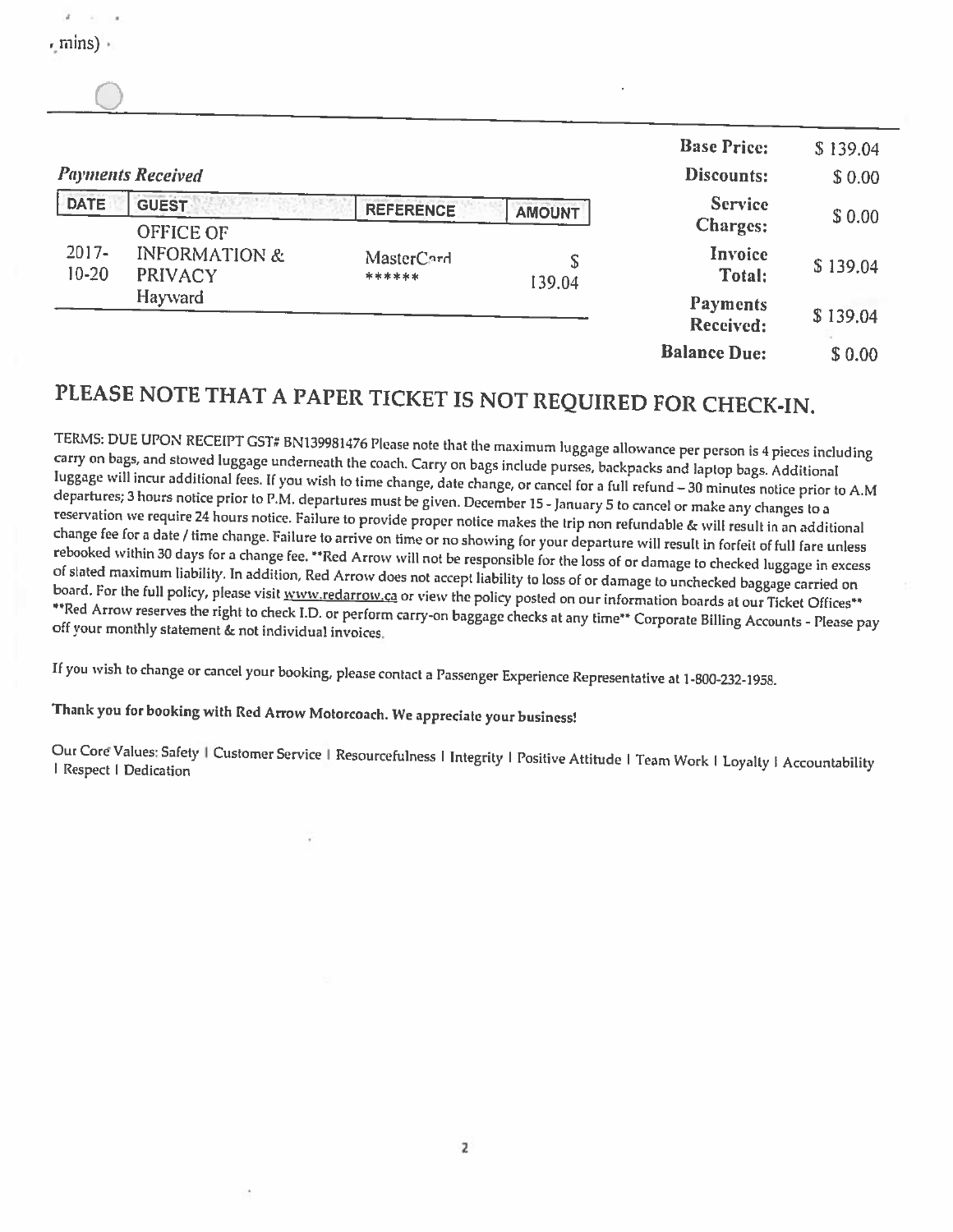|                       | <b>Payments Received</b>                                                  |           |             | <b>Base Price:</b><br>Discounts: | \$139.04<br>\$0.00 |
|-----------------------|---------------------------------------------------------------------------|-----------|-------------|----------------------------------|--------------------|
| <b>DATE</b>           | <b>GUEST</b><br>OFFICE OF                                                 | REFERENCE | AMOUNT      | <b>Service</b><br>Charges:       | \$0.00             |
| $2017 -$<br>$10 - 20$ | <b>INFORMATION &amp;</b><br><b>MasterCard</b><br><b>PRIVACY</b><br>****** |           | S<br>139.04 | Invoice<br>Total:                | \$139.04           |
|                       | Hayward                                                                   |           |             | <b>Payments</b><br>Received:     | \$139.04           |
|                       |                                                                           |           |             | <b>Balance Due:</b>              | \$0.00             |

# PLEASE NOTE THAT <sup>A</sup> PAPER TICKET IS NOT REQUIRED FOR CHECK-IN.

TERMS: DUE UPON RECEIPT GST# BN139981476 Please note that the maximum luggage allowance per person is 4 pieces including<br>carry on bags, and stowed luggage underneath the coach. Carry on bags include purses, backpacks and l departures; hours luggage will 3 incur reservation we require 24 hours notice. Failure to provide proper notice makes the trip non refundable & will result in an additional change fee for a date / time change. Failure to arrive on time or no showing for your de

If you wish to change or cancel your booking, <sup>p</sup>lease contact <sup>a</sup> Passenger Experience Representative at 1-800-232-1958.

Thank you for booking with Red Arrow Motorcoach. We appreciate your business!

mins)

Our Core Values: Safety | Customer Service | Resourcefulness | Integrity | Positive Attitude | Team Work | Loyalty | Accountability | Respect | Dedication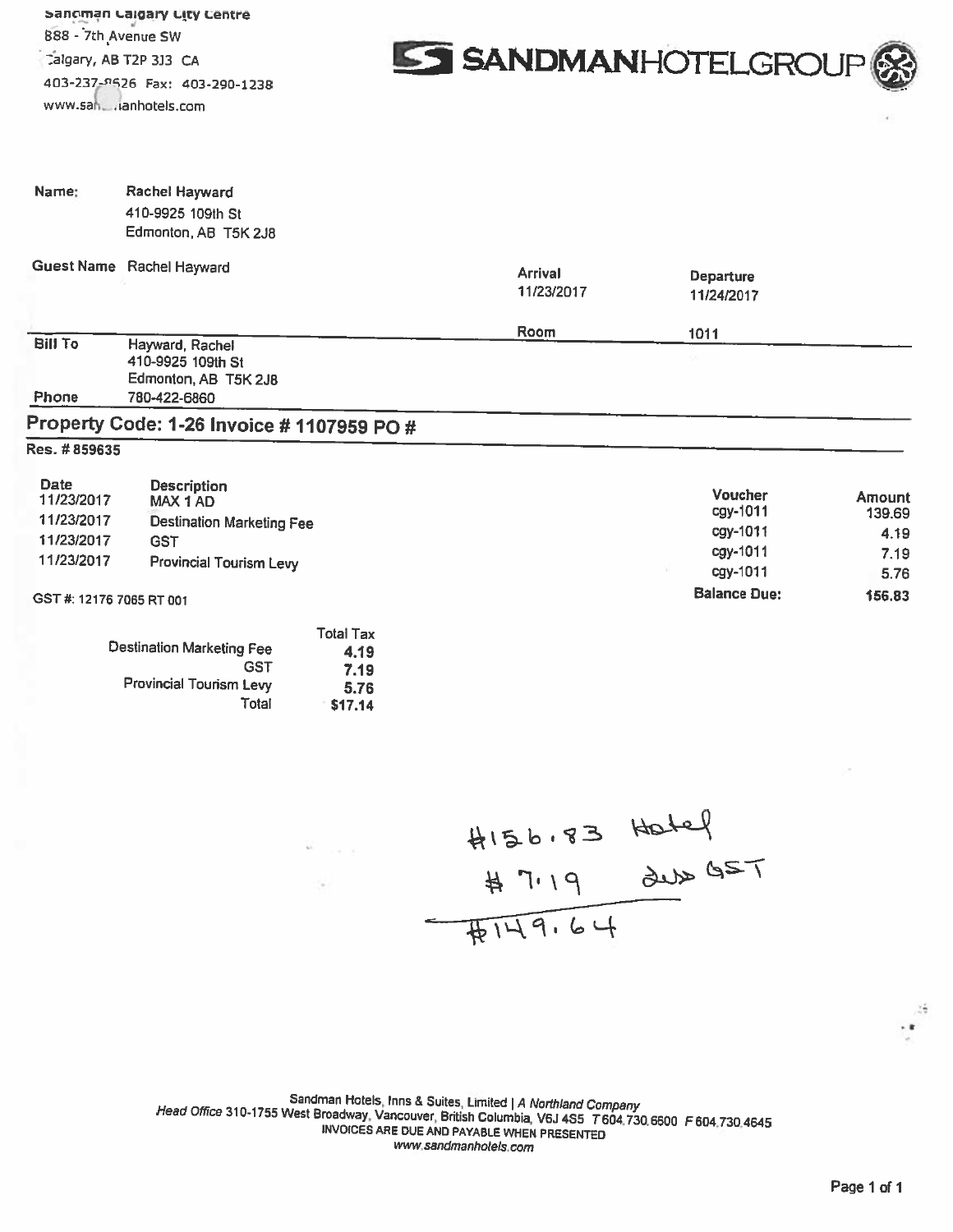sanoman calgary City Centre 888 - 7th Avenue SW www.sai,. anhotels,com



| Name:                                   | Rachel Hayward<br>410-9925 109th St<br>Edmonton, AB T5K 2J8        |                              |                            |                         |
|-----------------------------------------|--------------------------------------------------------------------|------------------------------|----------------------------|-------------------------|
|                                         | Guest Name Rachel Hayward                                          | <b>Arrival</b><br>11/23/2017 | Departure<br>11/24/2017    |                         |
|                                         |                                                                    | Room                         | 1011                       |                         |
| <b>Bill To</b>                          | Hayward, Rachel<br>410-9925 109th St<br>Edmonton, AB T5K 2J8       |                              |                            |                         |
| Phone                                   | 780-422-6860                                                       |                              |                            |                         |
|                                         | Property Code: 1-26 Invoice # 1107959 PO #                         |                              |                            |                         |
| Res. # 859635                           |                                                                    |                              |                            |                         |
| <b>Date</b><br>11/23/2017<br>11/23/2017 | <b>Description</b><br>MAX 1 AD<br><b>Destination Marketing Fee</b> |                              | <b>Voucher</b><br>cgy-1011 | <b>Amount</b><br>139.69 |
| 11/23/2017                              | <b>GST</b>                                                         |                              | cgy-1011                   | 4.19                    |
| 11/23/2017                              | <b>Provincial Tourism Levy</b>                                     |                              | cgy-1011<br>cgy-1011       | 7.19<br>5.76            |
| GST #: 12176 7065 RT 001                |                                                                    |                              | <b>Balance Due:</b>        | 156.83                  |
|                                         | <b>Total Tax</b><br><b>Destination Marketing Fee</b><br>4.19       |                              |                            |                         |

| )estination Marketing Fee      | 4.19    |
|--------------------------------|---------|
| GST                            | 7.19    |
| <b>Provincial Tourism Levy</b> | 5.76    |
| Total                          | \$17.14 |
|                                |         |

4156.83 Hotel<br># 7.19 dub GST<br># 149.64

Sandman Hotels, Inns & Suites, Limited | A Northland Company<br>Head Office 310-1755 West Broadway, Vancouver, British Columbia, V6J 4S5 T604.730.6600 F 604.730.4645<br>INVOICES ARE DUE AND PAYABLE WHEN PRESENTED www.sandmanhotels.com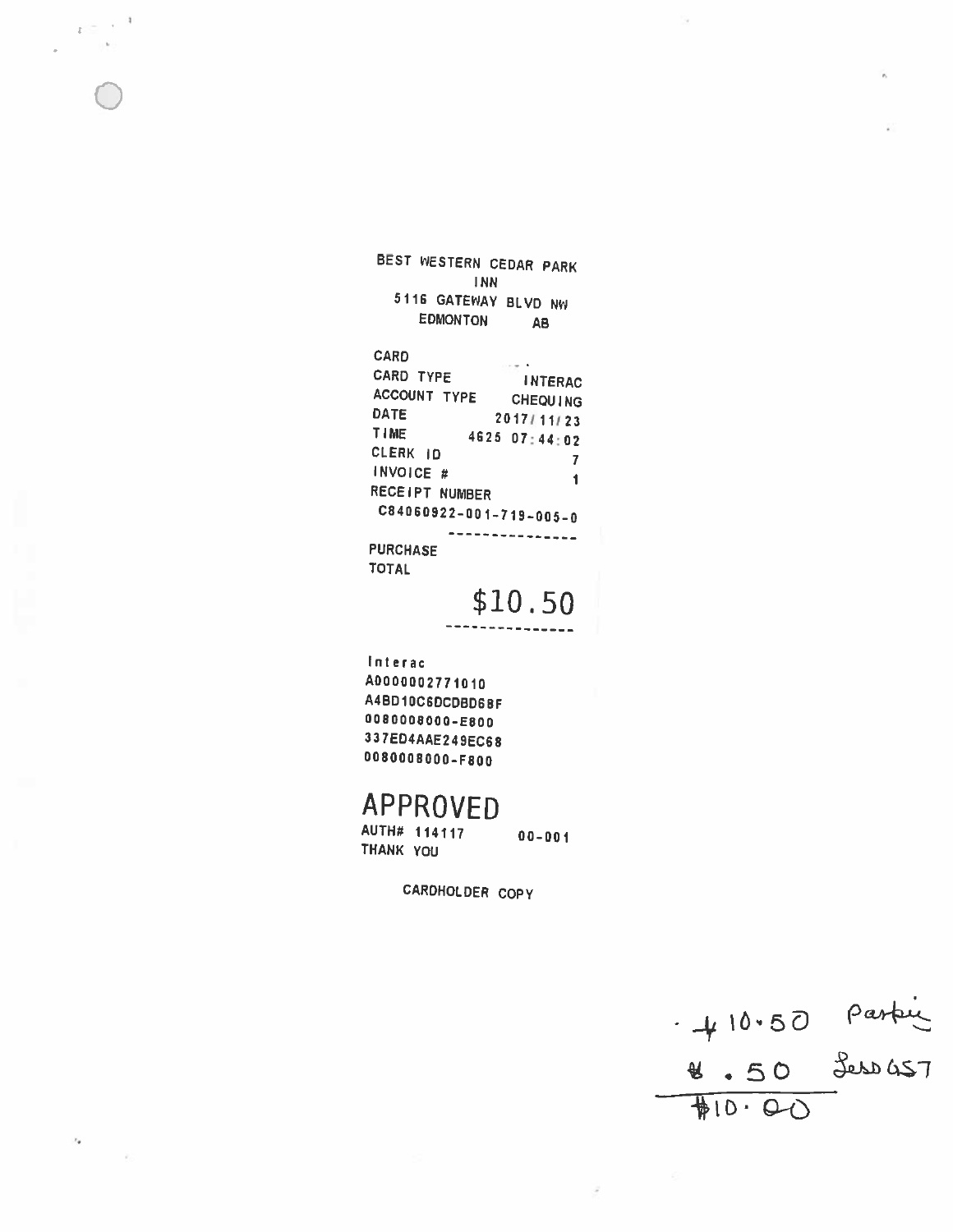BEST WESTERN CEDAR PARK **INN** 5116 GATEWAY BLVD NW EDMONTON **AB** CARD  $\overline{a}$ 

 $\epsilon \equiv -1$ 

 $r_{\rm e}$ 

CARD TYPE **INTERAC** ACCOUNT TYPE CHEQUING DATE 2017/11/23 TIME 4625 07:44:02 CLERK ID  $\overline{7}$ INVOICE #  $\mathbf{1}$ RECEIPT NUMBER C84060922-001-719-005-0 -------------**PURCHASE TOTAL** 

\$10.50

Interac A0000002771010 A4BD10C6DCDBD68F 0080008000-E800 337ED4AAE249EC68 0080008000-F800

# **APPROVED**

AUTH# 114117  $00 - 001$ THANK YOU

CARDHOLDER COPY

 $410.50$  parking<br>  $4.50$  Jess 457<br>  $#10.00$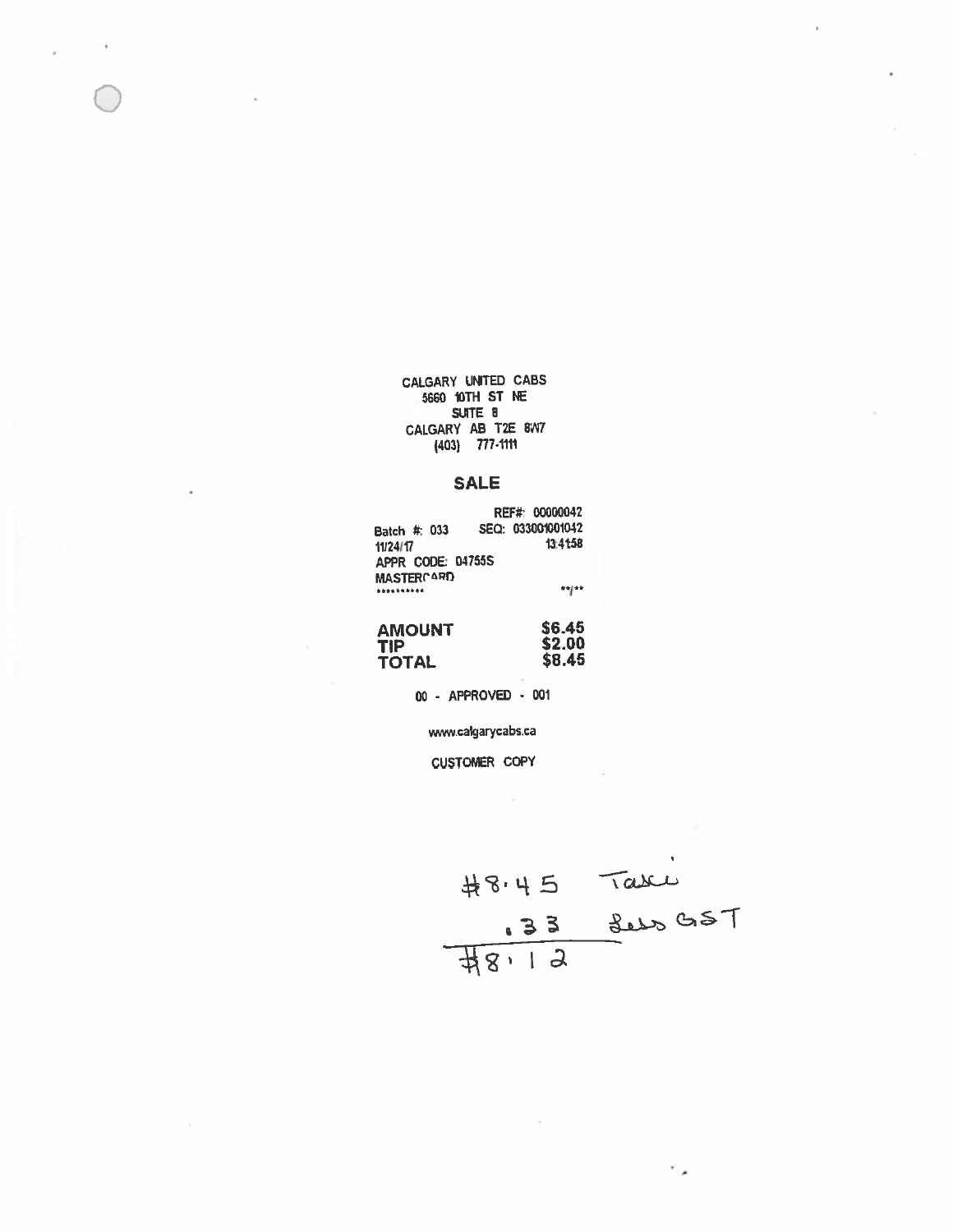CALGARY UNITED CABS 5660 10TH ST NE SUITE 8 CALGARY AB T2E 8W7 (403) 7774111

 $\bigcirc$ 

## SALE

|                   | REF#: 00000042    |
|-------------------|-------------------|
| Batch #: 033      | SEQ: 033001001042 |
| 11/24/17          | 13:41:58          |
| APPR CODE: 04755S |                   |
| <b>MASTERCARD</b> |                   |
| **********        | **/**             |
|                   |                   |

| <b>AMOUNT</b> | \$6.45 |
|---------------|--------|
| <b>TIP</b>    | \$2.00 |
| <b>TOTAL</b>  | \$8.45 |

00 . APPROVED - 001

wwwcalgarycabs.ca

CUSTOMER COPY

 $Tabc$ 33

٠.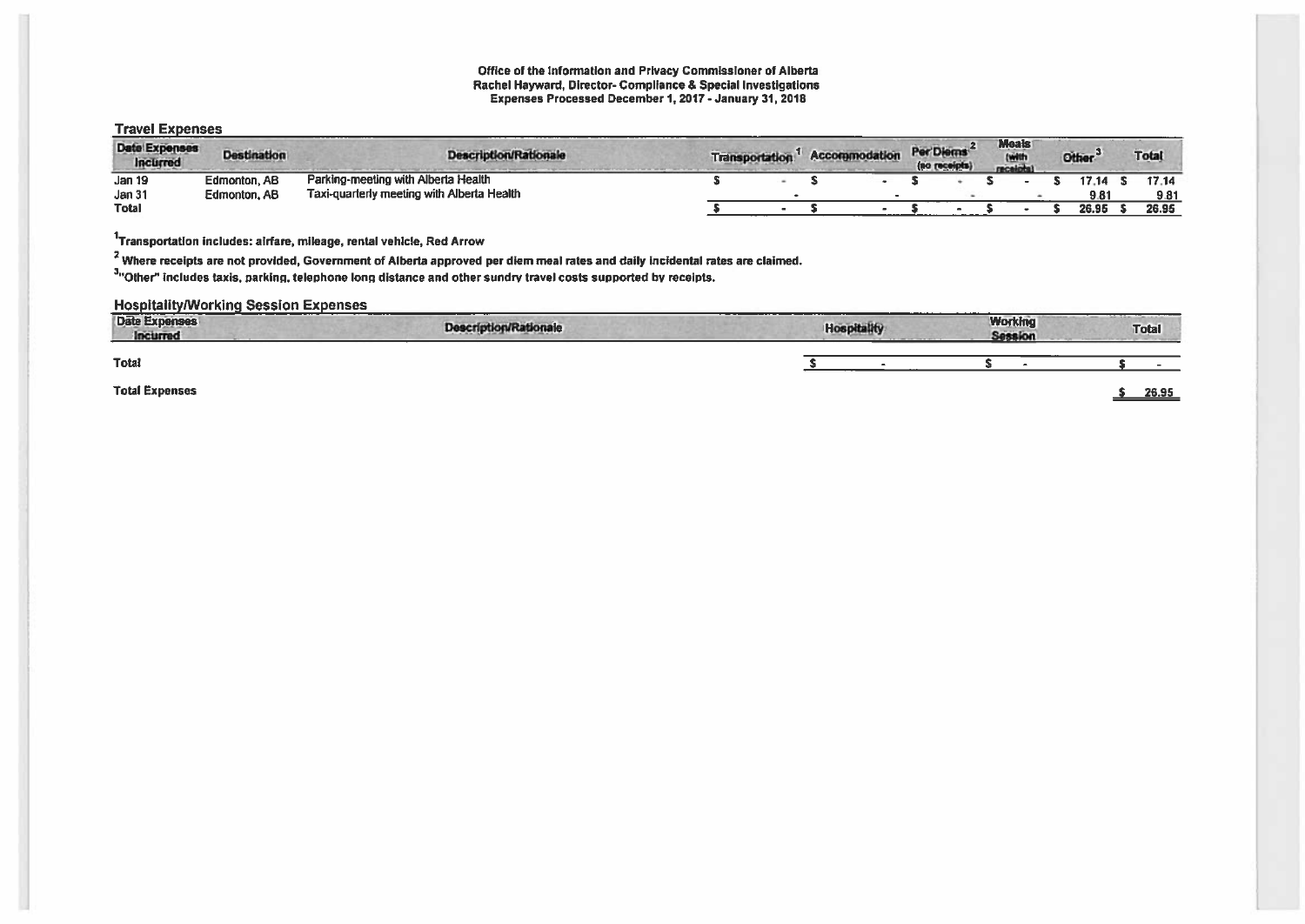#### Office of the Information and Privacy Commissioner of Alberta Rachel Hayward, Director- Compliance & Special Investigations Expenses Processed December 1,2017 -January 31, 2016

### Travel Expenses

| <b>Date Expenses</b><br>Incurred | <b>Destination</b> | <b>Description/Rationale</b>               | <b>Transportation</b> | <b>Accommodation</b> | Per Diems | (no receipts) | <b>Meals</b><br>(will<br>receipt | <b>Other</b> | <b>Total</b> |
|----------------------------------|--------------------|--------------------------------------------|-----------------------|----------------------|-----------|---------------|----------------------------------|--------------|--------------|
| Jan 19                           | Edmonton, AB       | Parking-meeting with Alberta Health        |                       |                      |           |               |                                  | 17.14        | 17.14        |
| <b>Jan 31</b>                    | Edmonton, AB       | Taxi-quarterly meeting with Alberta Health |                       |                      |           |               |                                  | 9.81         | 9.81         |
| <b>Total</b>                     |                    |                                            |                       |                      |           |               |                                  | 26.95        | 26.95        |

1Transportation includes: airfare, mileage, rental vehicle, Red Arrow

<sup>2</sup> Where receipts are not provided, Government of Alberta approved per diem meal rates and daily incidental rates are claimed.

<sup>3</sup>"Other" includes taxis, parking, telephone long distance and other sundry travel costs supported by receipts.

### **Hospitality/Working Session Expenses**

| <b>Date Expenses</b><br>Incurred | <b>Description/Rationale</b> | ---------<br><b>Hospitality</b><br>The property and the course of the lot | <b>Working</b><br><b>Session</b> | Total |
|----------------------------------|------------------------------|---------------------------------------------------------------------------|----------------------------------|-------|
| <b>Total</b>                     |                              |                                                                           |                                  |       |
| <b>Total Expenses</b>            |                              |                                                                           |                                  | 26.95 |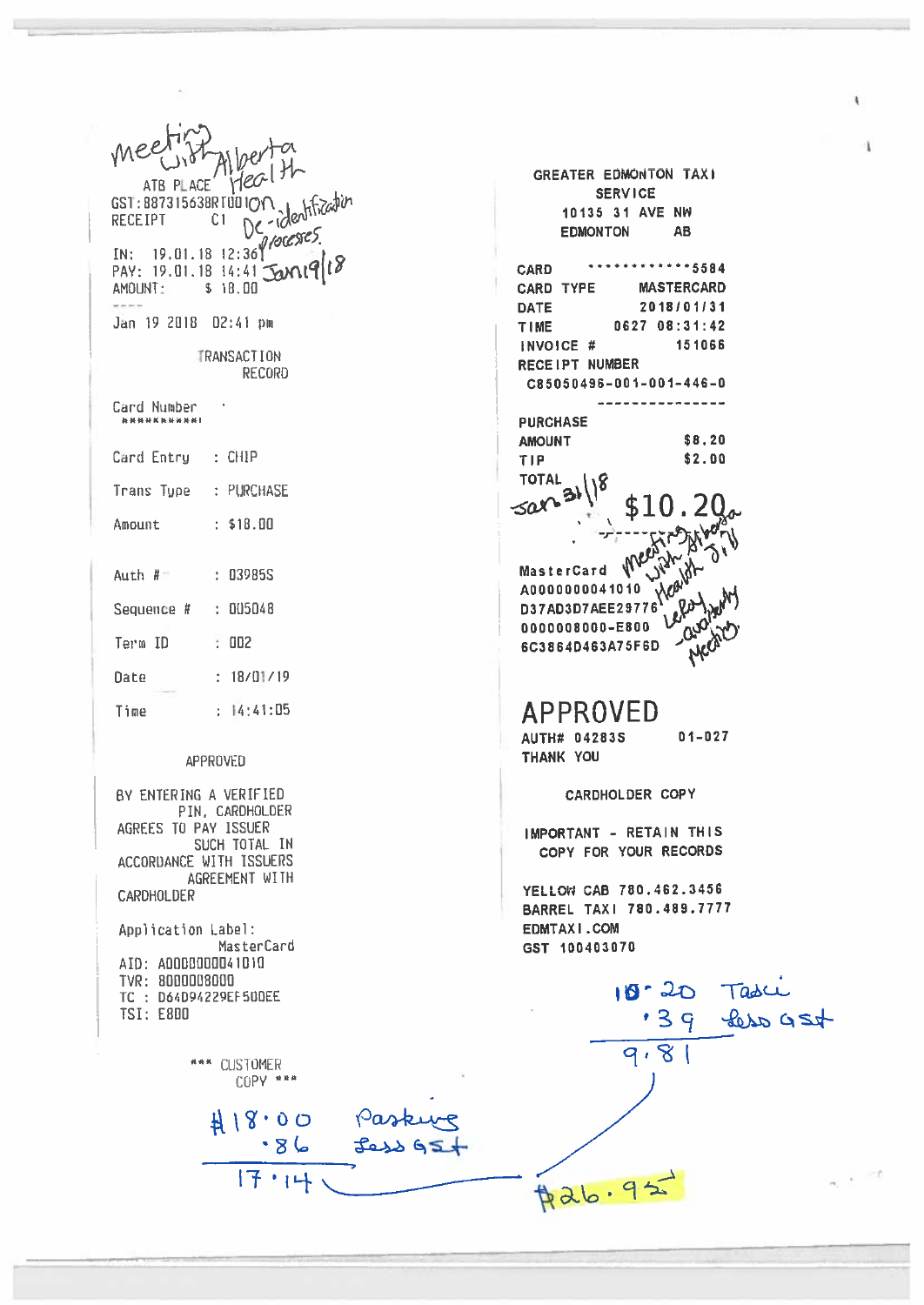$Hech$ GREATER EDMONTON TAXI ATB PLACE **SERVICE** GST: 887315638RTUDION<br>RECEIPT CI De dentitation 10135 31 AVE NW EDMONTON AB PAY: 19.01.18 14:41 Jan19/18 \*\*\*\*\*\*\*\*\*\*\*\*5584 **CARD** AMOUNT: \$ 18.00 CARD TYPE **MASTERCARD DATE** 2018/01/31 Jan 19 2018 02:41 pm TIME 0627 08:31:42 INVOICE # 151066 **TRANSACTION** RECEIPT NUMBER **RECORD** C85050496-001-001-446-0 ----------------Card Number ........... **PURCHASE AMOUNT** \$8.20 Card Entry : CHIP TIP \$2.00 **TOTAL** Trans Type : PURCHASE sar **\$10** Amount  $\therefore$  \$18.00 MasterCard Me  $A0000000041010$ Auth  $R =$  $\pm 039855$ D37AD3D7AEE29776  $0000008000 - E800 \bigcup_{n=0}^{\infty} (b^{n})$ Sequence # : 005048 5C3864D463A75F6D Meg Term ID  $\therefore$  002  $: 18/01/19$ Date **APPROVED**  $: 14:41:05$ Time  $01 - 027$ AUTH# 04283S THANK YOU APPROVED CARDHOLDER COPY BY ENTERING A VERIFIED PIN, CARDHOLDER AGREES TO PAY ISSUER IMPORTANT - RETAIN THIS SUCH TOTAL IN COPY FOR YOUR RECORDS ACCORDANCE WITH ISSUERS AGREEMENT WITH YELLOW CAB 780.462.3456 **CARDHOLDER** BARREL TAXI 780.489.7777 Application Label: EDMTAXI.COM MasterCard GST 100403070 AID: A0000000041010 10-20 Tasci<br>139 Less 954 TVR: 8000008000 TC: 064094229EF500EE **TSI: E800**  $9.81$ \*\*\* CUSTOMER COPY \*\*\*  $418.00$ Paskurg  $.86$  $\beta$ 26.95  $17.14$ 

¥.

 $\alpha$  ,  $\alpha$ 

Î.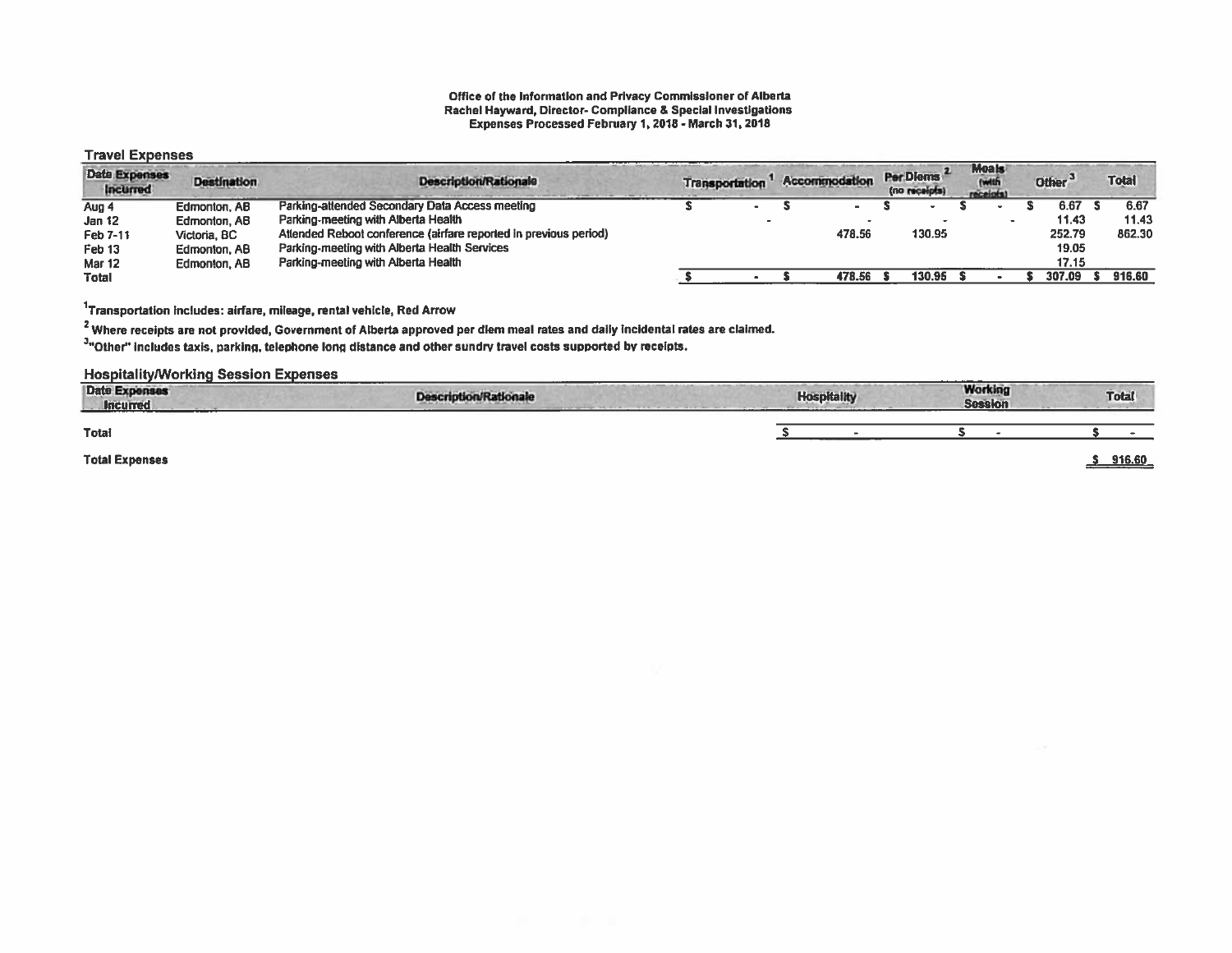#### Office of the Information and Privacy Commissioner of Alberta Rachel Hayward, Director- Compliance & Special Investigations Expenses Processed February 1,2018 - March 31, 2018

#### Travel Expenses

| <b>Date Expenses</b><br><b>Incurred</b> | <b>Destination</b> | <b>Description/Rationale</b>                                     | <b>Transportation</b> | Accommodation | Per Diems<br>(no receipts) | <b>Meals</b><br>receipts! | Other <sup>3</sup> | <b>Total</b> |
|-----------------------------------------|--------------------|------------------------------------------------------------------|-----------------------|---------------|----------------------------|---------------------------|--------------------|--------------|
| Aug 4                                   | Edmonton, AB       | Parking-attended Secondary Data Access meeting                   | $\blacksquare$        |               |                            |                           | 6.67 S             | 6.67         |
| Jan 12                                  | Edmonton, AB       | Parking-meeting with Alberta Health                              |                       |               |                            |                           | 11.43              | 11.43        |
| Feb 7-11                                | Victoria, BC       | Attended Reboot conference (airfare reported in previous period) |                       | 478.56        | 130.95                     |                           | 252.79             | 862.30       |
| Feb <sub>13</sub>                       | Edmonton, AB       | Parking-meeting with Alberta Health Services                     |                       |               |                            |                           | 19.05              |              |
| <b>Mar 12</b>                           | Edmonton, AB       | Parking-meeting with Alberta Health                              |                       |               |                            |                           | 17.15              |              |
| <b>Total</b>                            |                    |                                                                  |                       | 478.56        | 130.95                     |                           | 307.09             | 916.60       |

 $1$ Transportation includes: airfare, mileage, rental vehicle, Red Arrow

<sup>2</sup> Where receipts are not provided, Government of Alberta approved per diem meal rates and daily incidental rates are claimed.

3"Other" includes taxis, parking, telephone long distance and other sundry travel costs supported by receipts.

#### Hospitalitylworking Session Expenses

| <b>Date Expenses</b><br><b>Incurred</b><br><b>Service Control</b> | <b>Description/Rationale</b> | <b>Hospitality</b> | <b>Working</b><br><b>Session</b> |  | <b>Total</b> |
|-------------------------------------------------------------------|------------------------------|--------------------|----------------------------------|--|--------------|
| Total                                                             |                              |                    |                                  |  |              |
| <b>Total Expenses</b>                                             |                              |                    |                                  |  | 916.60       |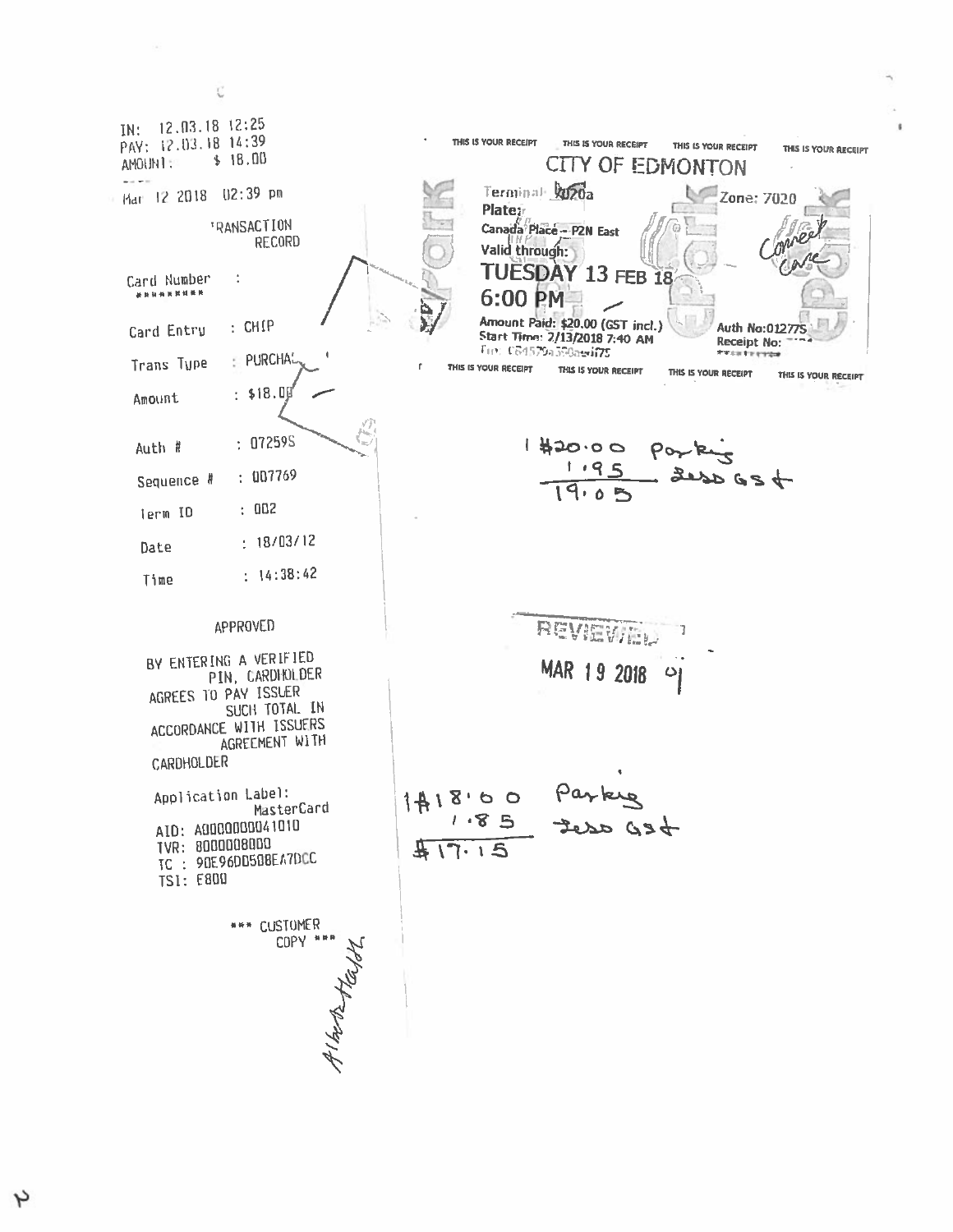IN: 12.03.18 12:25 PAY: 12.03.18 14:39 THIS IS YOUR RECEIPT THIS IS YOUR RECEIPT THIS IS YOUR RECEIPT THIS IS YOUR RECEIPT  $$18.00$ CITY OF EDMONTON AMOUNT: وأحادته Hart 12 2018 02:39 pm Terminal hozoa Zone: 7020 Plateir **TRANSACTION** Canada Place - P2N East **RECORD** Valid through: TUESDAY 13 FEB 18 Card Number  $\ddot{\cdot}$ \*\*\*\*\*\*\*\*\* 6:00 PM Amount Paid: \$20.00 (GST incl.)  $:$  CHIP **Auth No:012775** Card Entry Start Time: 2/13/2018 7:40 AM **Receipt No:** Fin: C64579a590awi75 : PURCHA **Trans Tupe**  $\mathbf{r}$ THIS IS YOUR RECEIPT THIS IS YOUR RECEIPT THIS IS YOUR RECEIPT THIS IS YOUR RECEIPT  $: $18.0]$ Amount  $: 07259S$  $1420.00$ Auth # Por  $3004$  $: 007769$ Sequence #  $: 002$ Term ID  $: 18/03/12$ Date  $: 14:38:42$ Time REVIEWEN **APPROVED** 7 BY ENTERING A VERIFIED MAR 19 2018 PIN, CARDHOLDER ပျ AGREES TO PAY ISSUER SUCH TOTAL IN ACCORDANCE WITH ISSUERS AGREEMENT WITH CARDHOLDER  $1418.00$  Parky<br> $1.85$  teso GSt Application Label: MasterCard AID: A0000000041010 TVR: 8000008000  $417.15$ TC: 90E96DD508EA7DCC **TSI: E800** \*\*\* CUSTOMER COPY \*\*\* Alkothytayo

C

ى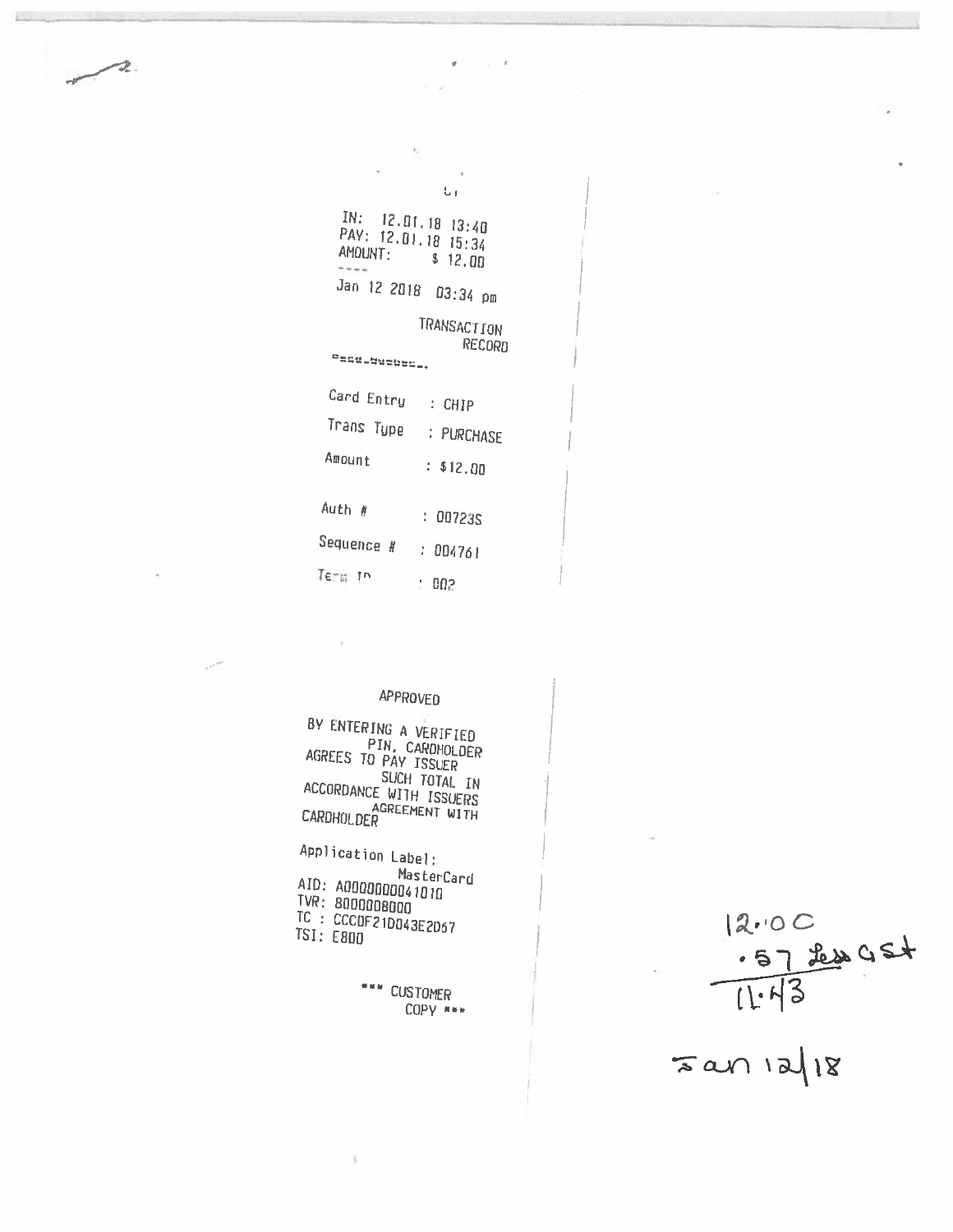$\overline{1}$ 

| ъı                                                                           |
|------------------------------------------------------------------------------|
| $\text{IN:} \quad$ 12.01.18 13:40<br>PAY: 12.01.18 15:34<br>AMOUNT: \$ 12.00 |
| Jan 12 2018 03:34 pm                                                         |
| <b>TRANSACTION</b><br>RECORD<br>"후드역_설님없습습습_.                                |
| Card Entry : CHIP                                                            |
| Trans Type : PURCHASE                                                        |
| Amount<br>: \$12.00                                                          |
| Auth #<br>: 00723S                                                           |
| Sequence # : 004761                                                          |
| Term in<br>٠.<br>002                                                         |

 $\mu_{\rm L}$ 

S

 $\sim$   $\sim$ 

## APPROVED

 $\bar{p}$ 

BY ENTERING A VERIFIED<br>PIN, CARDHOLDER<br>AGREES TO PAY ISSUER<br>ACCORDING SUCH TOTAL IN SUCH TOTAL IN<br>ACCORDANCE WITH ISSUERS CARDHOLDER<br>CARDHOLDER

Application Label: MasterCard<br>TVR: 80000000041010<br>TC : CCC0F21DO43E2D67<br>TSI: E800<br>TSI: E800

 $\mathfrak{g}$ 

\*\*\* CUSTOMER COPY \*\*\*

 $12.00$ <br> $-57200$ <br> $11.13$ 

 $52118$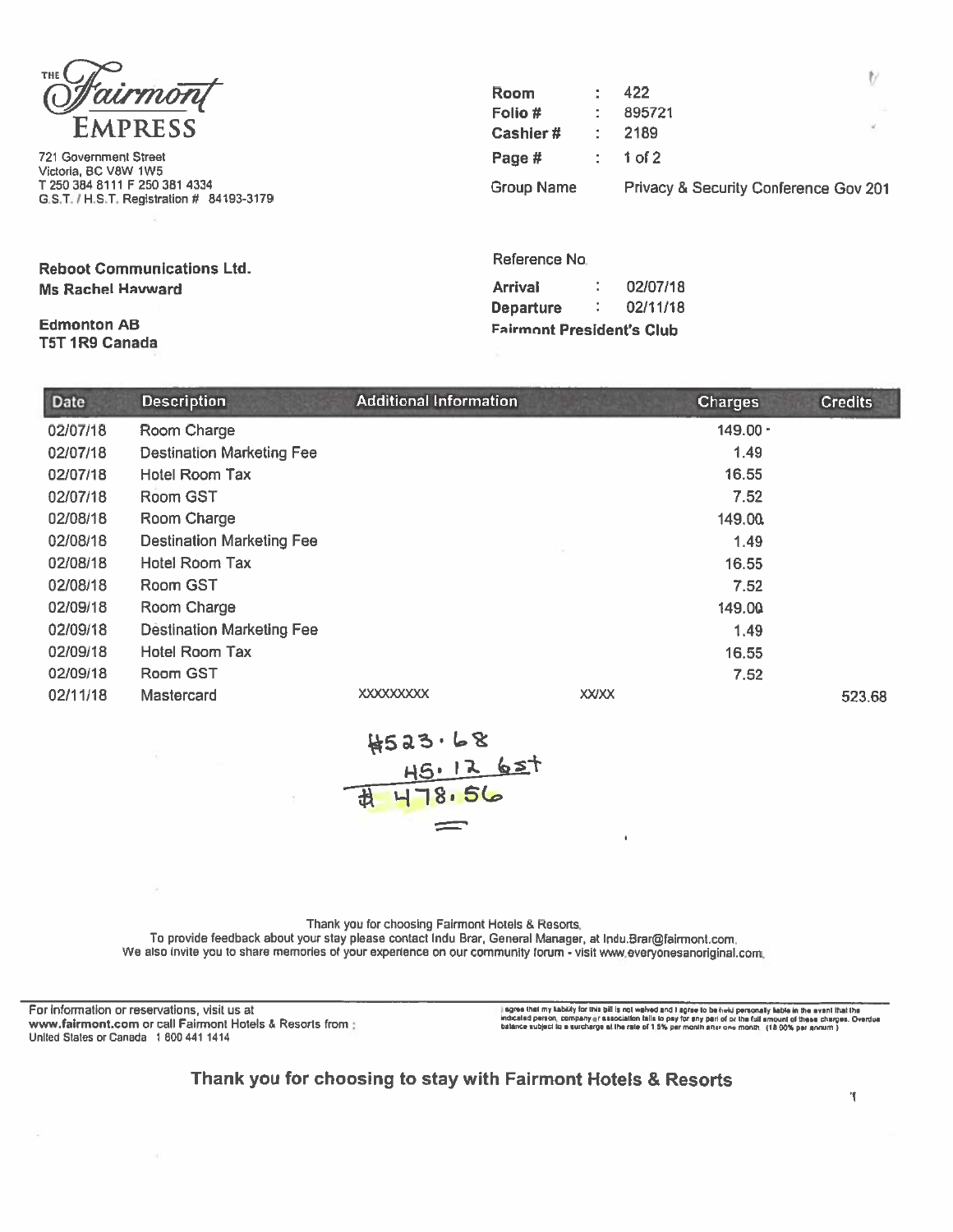

721 Government Street Victoria, BC V8W 1W5 T 250 384 8111 F 250 381 4334 G.S.T. / H.S.T. Registration # 84193-3179

**Reboot Communications Ltd. Ms Rachel Havward** 

### **Edmonton AB** T5T 1R9 Canada

| <b>Room</b>       | 422                                   |    |
|-------------------|---------------------------------------|----|
| Folio #           | 895721                                |    |
| Cashier#          | 2189                                  | ×. |
| Page #            | $: 1$ of 2                            |    |
| <b>Group Name</b> | Privacy & Security Conference Gov 201 |    |

Reference No.

| <b>Arrival</b>                   | 02/07/18 |
|----------------------------------|----------|
| <b>Departure</b>                 | 02/11/18 |
| <b>Fairmont President's Club</b> |          |

| Date     | <b>Description</b>               | <b>Additional Information</b> |              | <b>Charges</b> | <b>Credits</b> |
|----------|----------------------------------|-------------------------------|--------------|----------------|----------------|
| 02/07/18 | Room Charge                      |                               |              | $149.00 \cdot$ |                |
| 02/07/18 | <b>Destination Marketing Fee</b> |                               |              | 1.49           |                |
| 02/07/18 | Hotel Room Tax                   |                               |              | 16.55          |                |
| 02/07/18 | Room GST                         |                               |              | 7.52           |                |
| 02/08/18 | Room Charge                      |                               |              | 149.00         |                |
| 02/08/18 | <b>Destination Marketing Fee</b> |                               |              | 1.49           |                |
| 02/08/18 | <b>Hotel Room Tax</b>            |                               |              | 16.55          |                |
| 02/08/18 | Room GST                         |                               |              | 7.52           |                |
| 02/09/18 | Room Charge                      |                               |              | 149.00         |                |
| 02/09/18 | <b>Destination Marketing Fee</b> |                               |              | 1.49           |                |
| 02/09/18 | Hotel Room Tax                   |                               |              | 16.55          |                |
| 02/09/18 | Room GST                         |                               |              | 7.52           |                |
| 02/11/18 | Mastercard                       | <b>XXXXXXXXXX</b>             | <b>XXIXX</b> |                | 523.68         |



Thank you for choosing Fairmont Hotels & Resorts.

To provide feedback about your stay please contact Indu Brar, General Manager, at Indu.Brar@fairmont.com.

We also invite you to share memories of your experience on our community forum - visit www.everyonesanoriginal.com.

For information or reservations, visit us at www.fairmont.com or call Fairmont Hotels & Resorts from : United States or Canada 1 800 441 1414

l agree that my kability for this bill is not walved and I agree to be held personally keble in the event that the<br>indicated person, company or essociation talls to psy for eny peri of or the tull amount of these charges.

Thank you for choosing to stay with Fairmont Hotels & Resorts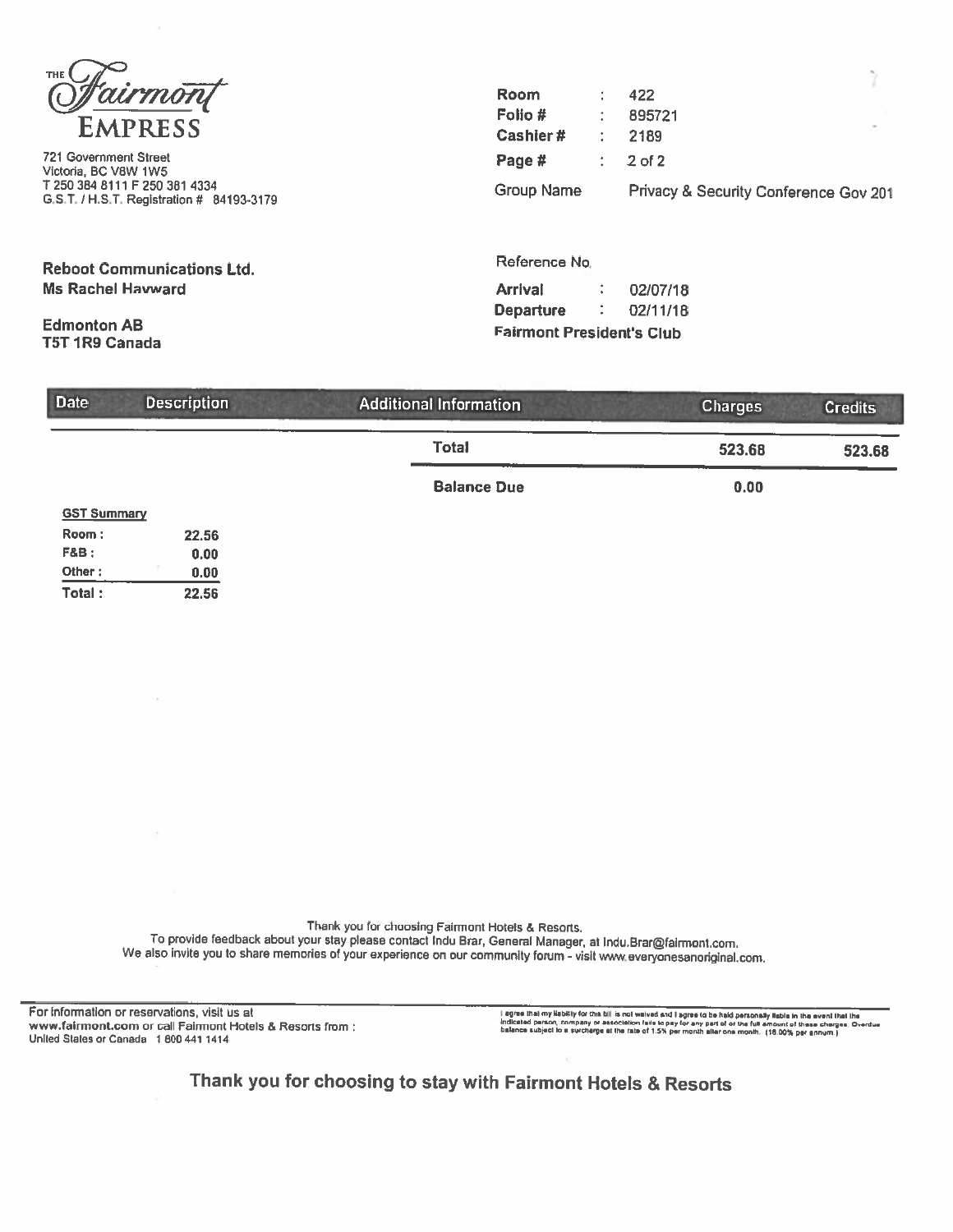**THE** airmon **EMPRESS** 

**721 Government Street** Victoria, BC V8W 1W5 T 250 384 8111 F 250 381 4334 G.S.T. / H.S.T. Registration # 84193-3179

**Reboot Communications Ltd. Ms Rachel Havward** 

**Edmonton AB T5T 1R9 Canada** 

**F&B:** 

Other:

Total:

| <b>Room</b> | 422                                   |  |
|-------------|---------------------------------------|--|
| Folio #     | 895721                                |  |
| Cashier#    | 2189                                  |  |
| Page #      | $\therefore$ 2 of 2                   |  |
| Group Name  | Privacy & Security Conference Gov 201 |  |

Reference No.

| <b>Arrival</b>                   |   | 02/07/18 |
|----------------------------------|---|----------|
| <b>Departure</b>                 | ٠ | 02/11/18 |
| <b>Fairmont President's Club</b> |   |          |

| <b>Date</b>                 | <b>Description</b> | <b>Additional Information</b> | <b>Charges</b> | <b>Credits</b> |  |
|-----------------------------|--------------------|-------------------------------|----------------|----------------|--|
|                             |                    | <b>Total</b>                  | 523.68         | 523.68         |  |
|                             |                    | <b>Balance Due</b>            | 0.00           |                |  |
| <b>GST Summary</b><br>Room: | 22.56              |                               |                |                |  |

Thank you for choosing Fairmont Hotels & Resorts. To provide feedback about your stay please contact Indu Brar, General Manager, at Indu.Brar@fairmont.com. We also invite you to share memories of your experience on our community forum - visit www.everyonesanoriginal.com.

For information or reservations, visit us at www.fairmont.com or call Fairmont Hotels & Resorts from : United States or Canada 1 800 441 1414

 $0.00$ 

 $0.00$ 

22.56

I agree that my kabitity for this bill is not walved and I agree to be hald personally fisble in the event that the<br>indicated person, company or association fails to pay for any part of or the full amount of these charges.

Thank you for choosing to stay with Fairmont Hotels & Resorts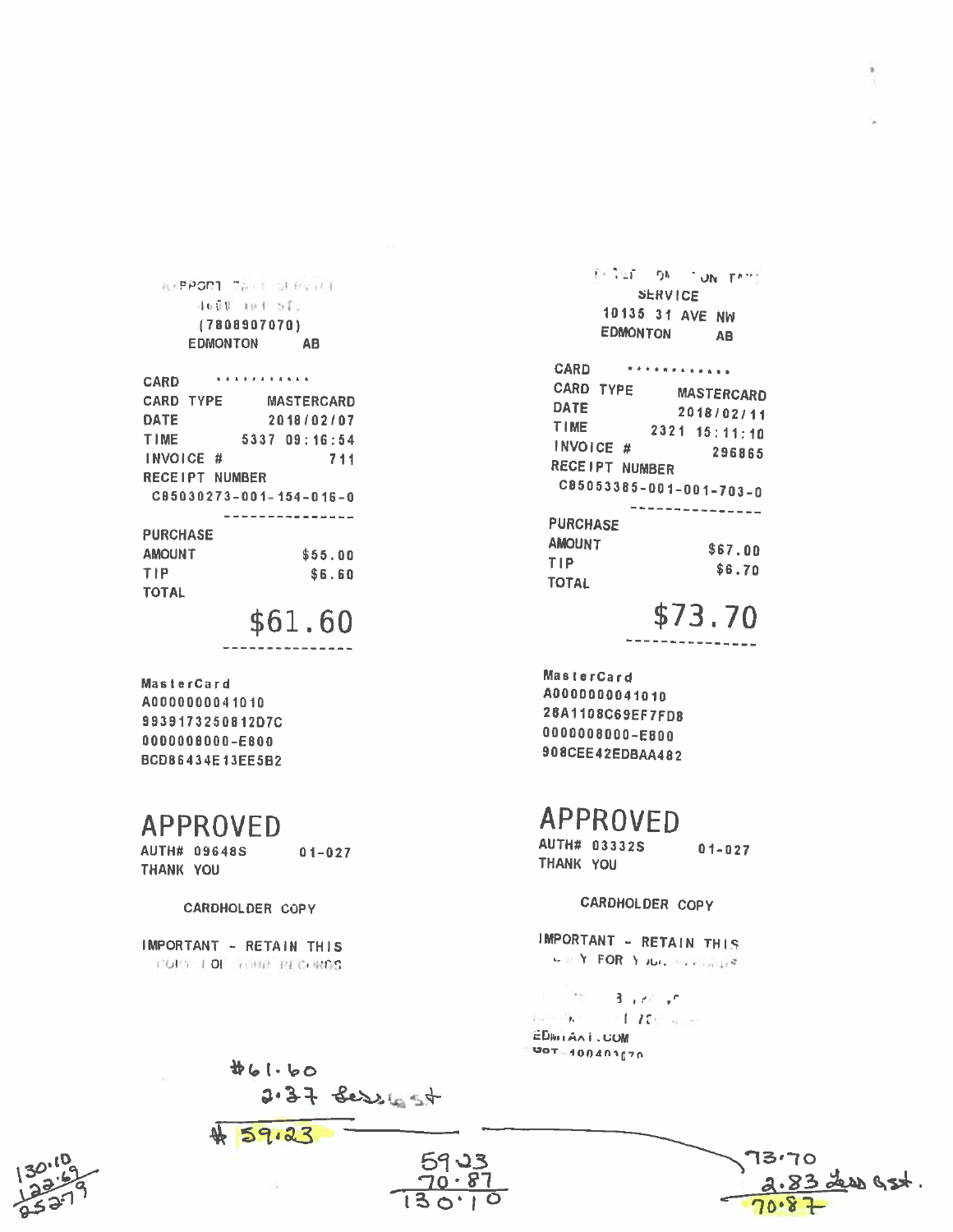**A-PPORT TALL SERVICE** 4600 101 51. (7808907070) **EDMONTON** AB

| <b>CARD</b>             | <b>BERTHER BERTH</b> |               |                   |  |        |     |  |
|-------------------------|----------------------|---------------|-------------------|--|--------|-----|--|
| <b>CARD TYPE</b>        |                      |               | <b>MASTERCARD</b> |  |        |     |  |
| <b>DATE</b>             |                      |               | 2018/02/07        |  |        |     |  |
| TIME                    |                      | 5337 09:16:54 |                   |  |        |     |  |
| INVOICE #               |                      |               |                   |  |        | 711 |  |
| <b>RECEIPT NUMBER</b>   |                      |               |                   |  |        |     |  |
| CB5030273-001-154-016-0 |                      |               |                   |  |        |     |  |
|                         |                      |               |                   |  |        |     |  |
| <b>PURCHASE</b>         |                      |               |                   |  |        |     |  |
| <b>AMOUNT</b>           |                      |               |                   |  | ቁዳፍ በሰ |     |  |

| AMOUNT | \$55.00 |
|--------|---------|
| TIP    | \$6.60  |
| TOTAL  |         |

\$61.60

MasterCard A0000000041010 9939173250812D7C 0000008000-E800 BCD86434E13EE5B2

## **APPROVED**

**AUTH# 09648S**  $01 - 027$ THANK YOU

CARDHOLDER COPY

IMPORTANT - RETAIN THIS COPY FOR TORP RECHROS

461.60

59.23

2.37 Sessionst

Exited ON TUN PATT **SERVICE** 10135 31 AVE NW **EDMONTON AB** 

CARD \*\*\*\*\*\*\*\*\*\*\*\* CARD TYPE **MASTERCARD DATE** 2018/02/11 TIME  $2321$   $15:11:10$ INVOICE # 296865 RECEIPT NUMBER C85053385-001-001-703-0 **PURCHASE AMOUNT** \$67.00 TIP.  $$6.70$ **TOTAL** 

\$73.70

MasterCard A0000000041010 28A1108C69EF7FD8 0000008000-E800 908CEE42EDBAA482

## **APPROVED**

AUTH# 03332S  $01 - 027$ THANK YOU

CARDHOLDER COPY

IMPORTANT - RETAIN THIS  $\mathbf{L} \otimes \mathbf{Y} \cdot \mathsf{FOR} \cdot \mathbf{Y} \cdot \mathsf{JL}(\mathbf{A}, \mathbf{X}, \mathbf{Y}) \otimes_{\mathcal{O}(\mathbf{X})} \mathbf{Z}$ 

83 Less G3t.

 $\pm$  as  $3 + 60 + 6$  $175$  $\mathbf{L}$  and  $\mathbf{L}$ **EDWIANI**, COM 707-100401070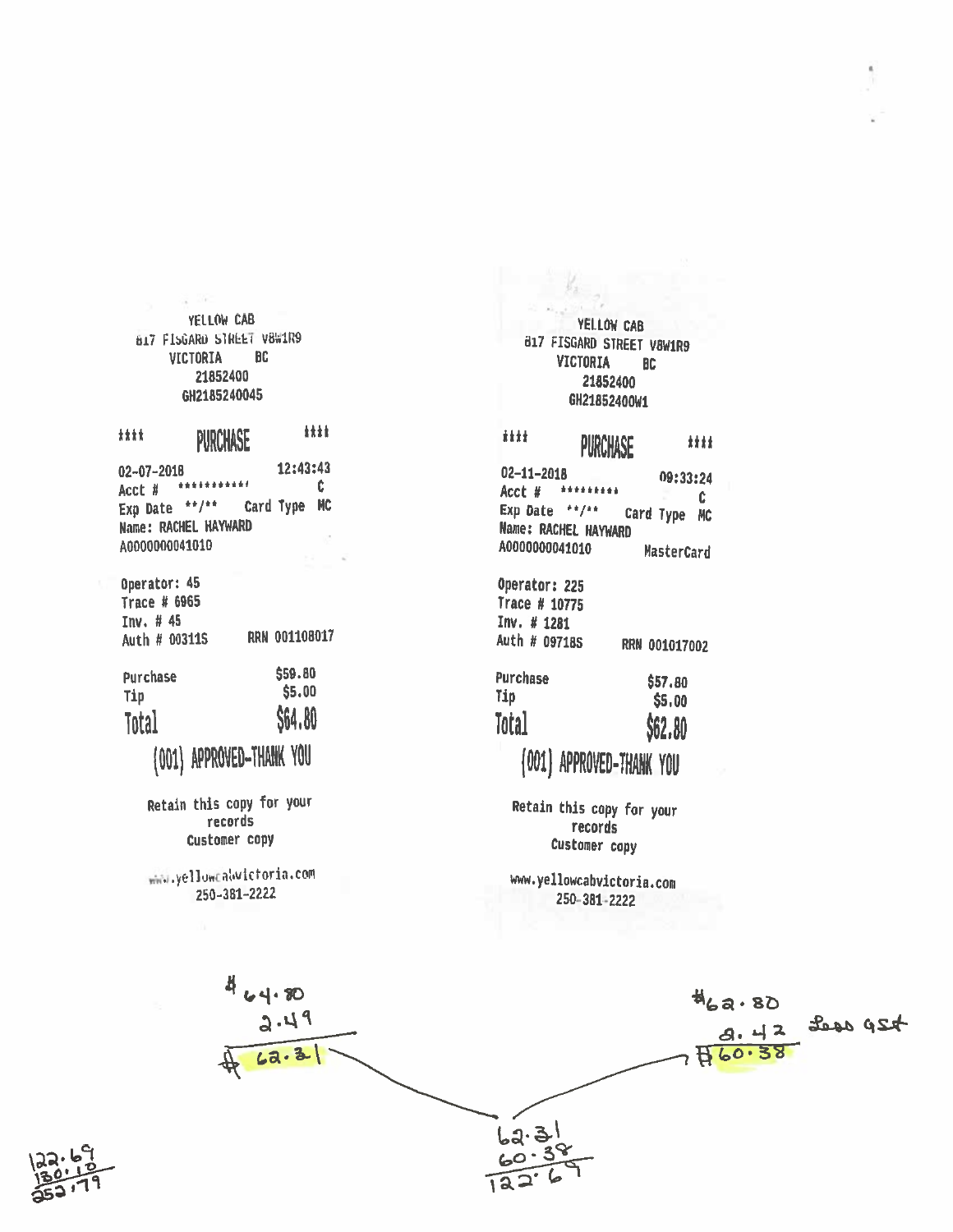YELLOW CAB B17 FISGARD STREET V8W1R9 **VICTORIA BC** 21852400 GH2185240045

**HH** iii PURCHASE 12:43:43  $02 - 07 - 2018$ Acct # \*\*\*\*\*\*\*\*\*\*\* Ċ.

Exp Date \*\*/\*\* Card Type MC **Name: RACHEL HAYWARD** A0000000041010

Operator: 45 **Trace # 6965** Inv. # 45 RRN 001108017 Auth # 003115

| Purchase | \$59.80 |
|----------|---------|
| Tip      | \$5.00  |
| Total    | \$64.80 |

(001) APPROVED-THANK YOU

Retain this copy for your records Customer copy

www.yellowCaWictoria.com 250-381-2222

YELLOW CAB 817 FISGARD STREET V8W1R9 **VICTORIA** BC 21852400 GH21852400W1

#### iiii 封封 PURCHASE

 $02 - 11 - 2018$ 09:33:24 Acct # \*\*\*\*\*\*\*\*\* Ć Exp Date \*\*/\*\* Card Type MC **Name: RACHEL HAYWARD** A0000000041010 MasterCard

Operator: 225 Trace # 10775 Inv. # 1281 Auth # 097185 RRN 001017002

| <b>Purchase</b> | \$57.80 |
|-----------------|---------|
| Tip             | \$5,00  |
| Total           | \$62.80 |
|                 |         |

# (001) APPROVED-THANK YOU

Retain this copy for your records Customer copy

www.yellowcabvictoria.com 250-381-2222